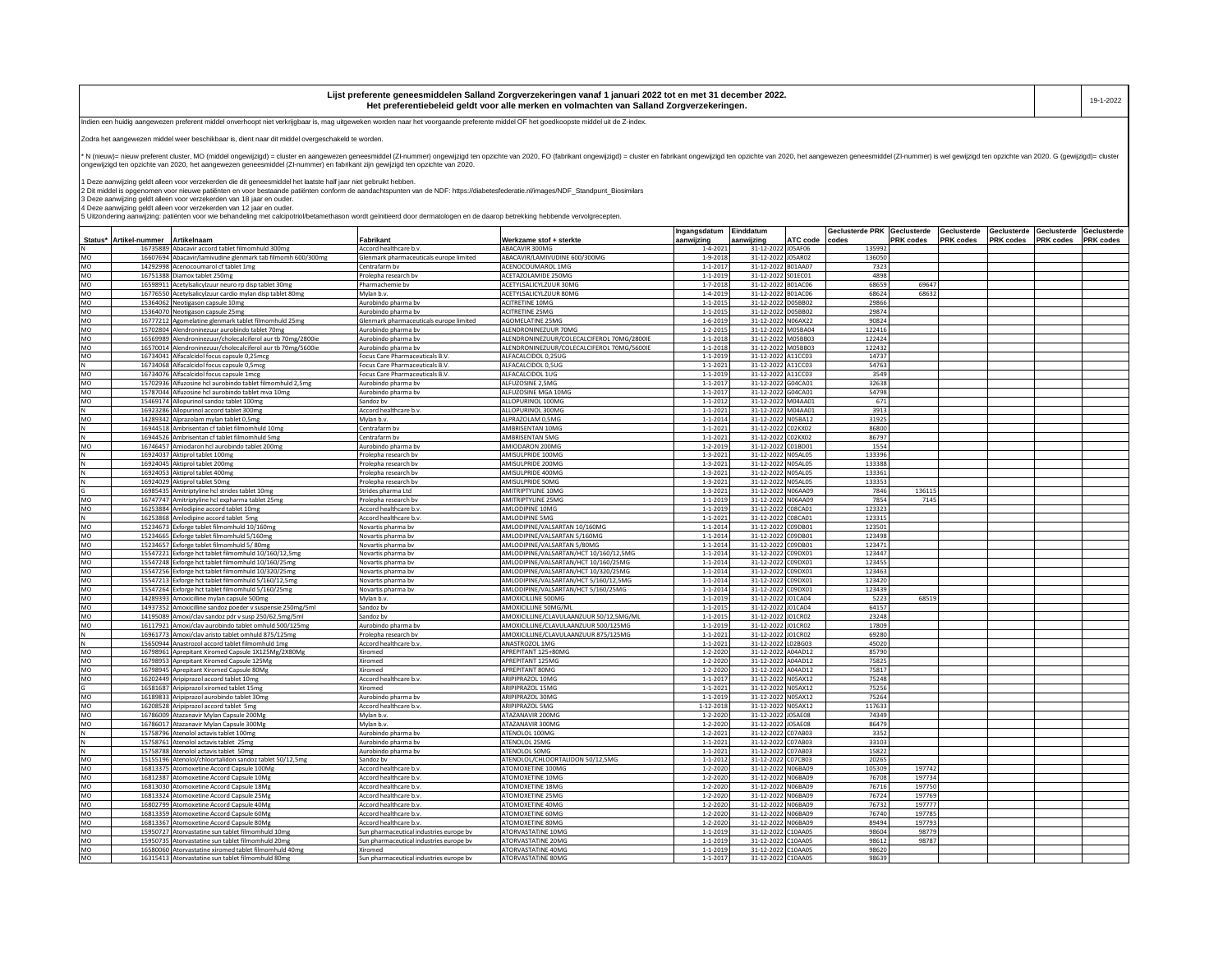| i ist<br>ante geneesmiddelen Salland Zorgverzekeringen vanaf 1 januari 2022 tot en met 31 december 2022.<br>t nrefere | 19-1-2022 |
|-----------------------------------------------------------------------------------------------------------------------|-----------|
| Het<br><sub>ri</sub> d geldt voor alle merken en volmachten van Salland Zorgverzekeringen.<br>ำrentiebeleid …         |           |

Indien een huidig aangewezen preferent middel onverhoopt niet verkrijgbaar is, mag uitgeweken worden naar het voorgaande preferente middel OF het goedkoopste middel uit de Z-index.

Zodra het aangewezen middel weer beschikbaar is, dient naar dit middel overgeschakeld te worden.

-<br>N (nieuw)= nieuw preferent cluster, MO (middel ongewizigd) = cluster en aangewezen geneesmiddel (ZI-nummer) ongewizigd ten opzichte van 2020, FO (fabrikant ongewijzigd) = cluster en fabrikant ongewijzigd en opzichte van ongewijzigd ten opzichte van 2020, het aangewezen geneesmiddel (ZI-nummer) en fabrikant zijn gewijzigd ten opzichte van 2020.

1 Deze aanwijzing geldt alleen voor verzekerden die dit geneesmiddel het laatste half jaar niet gebruikt hebben.<br>2 Dit middel is opgenomen voor nieuwe patiënten en voor bestaande patiënten conform de aandachtspunten van d

3 Deze aanwijzing geldt alleen voor verzekerden van 18 jaar en ouder.<br>4 Deze aanwijzing geldt alleen voor verzekerden van 12 jaar en ouder.<br>5 Uitzondering aanwijzing: patiënten voor wie behandeling met calcipotriol/betamet

|                      |                                                                                                                   |                                                  |                                                 | Ingangsdatum                      | Einddatum                                |          | Geclusterde PRK Geclusterde |                  | Geclusterde | Geclusterde      | Geclusterde      | Geclusterde      |
|----------------------|-------------------------------------------------------------------------------------------------------------------|--------------------------------------------------|-------------------------------------------------|-----------------------------------|------------------------------------------|----------|-----------------------------|------------------|-------------|------------------|------------------|------------------|
|                      | Status* Artikel-nummer<br>Artikelnaam<br>16735889 Abacavir accord tablet filmomhuld 300mg                         | Fabrikant<br>Accord healthcare b.v.              | Werkzame stof + sterkte<br>ABACAVIR 300MG       | aanwijzing<br>$1 - 4 - 2021$      | aanwijzing<br>31-12-2022 J05AF06         | ATC code | codes<br>135992             | PRK codes        | PRK codes   | <b>PRK</b> codes | <b>PRK codes</b> | <b>PRK</b> codes |
| MO                   | 16607694 Abacavir/lamivudine glenmark tab filmomh 600/300mg                                                       | Glenmark pharmaceuticals europe limited          | ABACAVIR/LAMIVUDINE 600/300MG                   | $1 - 9 - 2018$                    | 31-12-2022 J05AR02                       |          | 136050                      |                  |             |                  |                  |                  |
| MO                   | 14292998 Acenocoumarol cf tablet 1mg                                                                              | Centrafarm by                                    | ACENOCOUMAROL 1MG                               | $1 - 1 - 2017$                    | 31-12-2022 B01AA07                       |          | 7323                        |                  |             |                  |                  |                  |
| MO                   | 16751388 Diamox tablet 250mg                                                                                      | Prolepha research bv                             | ACETAZOLAMIDE 250MG                             | $1 - 1 - 2019$                    | 31-12-2022 S01EC01                       |          | 4898                        |                  |             |                  |                  |                  |
| MO                   | 16598911 Acetylsalicylzuur neuro rp disp tablet 30mg                                                              | Pharmachemie bv                                  | ACETYLSALICYLZUUR 30MG                          | $1 - 7 - 2018$                    | 31-12-2022 B01AC06                       |          | 68659                       | 69647            |             |                  |                  |                  |
| MO                   | 16776550 Acetylsalicylzuur cardio mylan disp tablet 80mg                                                          | Mylan b.v.                                       | ACETYLSALICYLZUUR 80MG                          | $1 - 4 - 2019$                    | 31-12-2022 B01AC06                       |          | 68624                       | 68632            |             |                  |                  |                  |
| MO                   | 15364062 Neotigason capsule 10mg                                                                                  | Aurobindo pharma bv                              | ACITRETINE 10MG                                 | $1 - 1 - 2015$                    | 31-12-2022 D05BB02                       |          | 29866                       |                  |             |                  |                  |                  |
| MO                   | 15364070 Neotigason capsule 25mg                                                                                  | Aurobindo pharma bv                              | ACITRETINE 25MG                                 | $1 - 1 - 2015$                    | 31-12-2022 D05BB02                       |          | 29874                       |                  |             |                  |                  |                  |
| MO                   | 16777212 Agomelatine glenmark tablet filmomhuld 25mg                                                              | Glenmark pharmaceuticals europe limited          | <b>AGOMELATINE 25MG</b><br>ALENDRONINEZUUR 70MG | $1 - 6 - 2019$                    | 31-12-2022 N06AX22                       |          | 90824                       |                  |             |                  |                  |                  |
| MO<br>M <sub>O</sub> | 15702804 Alendroninezuur aurobindo tablet 70mg<br>16569989 Alendroninezuur/cholecalciferol aur tb 70mg/2800ie     | Aurobindo pharma bv<br>Aurobindo pharma by       | ALENDRONINEZUUR/COLECALCIFEROL 70MG/2800IE      | $1 - 2 - 2015$<br>$1 - 1 - 2018$  | 31-12-2022 M05BA04<br>31-12-2022 M05BB03 |          | 122416<br>122424            |                  |             |                  |                  |                  |
| MO                   | 16570014 Alendroninezuur/cholecalciferol aur tb 70mg/5600ie                                                       | Aurobindo pharma bv                              | ALENDRONINEZUUR/COLECALCIFEROL 70MG/5600IE      | $1 - 1 - 2018$                    | 31-12-2022 M05BB03                       |          | 122432                      |                  |             |                  |                  |                  |
| MO                   | 16734041 Alfacalcidol focus capsule 0,25mcg                                                                       | Focus Care Pharmaceuticals B.V.                  | ALFACALCIDOL 0,25UG                             | $1 - 1 - 2019$                    | 31-12-2022 A11CC03                       |          | 14737                       |                  |             |                  |                  |                  |
|                      | 16734068 Alfacalcidol focus capsule 0,5mcg                                                                        | Focus Care Pharmaceuticals B.V                   | ALFACALCIDOL 0.5UG                              | $1 - 1 - 202$                     | 31-12-2022 A11CC03                       |          | 54763                       |                  |             |                  |                  |                  |
| MO                   | 16734076 Alfacalcidol focus capsule 1mcg                                                                          | Focus Care Pharmaceuticals B.V.                  | ALFACALCIDOL 1UG                                | $1 - 1 - 2019$                    | 31-12-2022 A11CC03                       |          | 3549                        |                  |             |                  |                  |                  |
| MO                   | 15702936 Alfuzosine hcl aurobindo tablet filmomhuld 2,5mg                                                         | Aurobindo pharma bv                              | ALFUZOSINE 2,5MG                                | $1 - 1 - 2017$                    | 31-12-2022 G04CA01                       |          | 32638                       |                  |             |                  |                  |                  |
| MO                   | 15787044 Alfuzosine hcl aurobindo tablet mva 10mg                                                                 | Aurobindo pharma bv                              | ALFUZOSINE MGA 10MG                             | $1 - 1 - 2017$                    | 31-12-2022 G04CA01                       |          | 54798                       |                  |             |                  |                  |                  |
| MO                   | 15469174 Allopurinol sandoz tablet 100mg                                                                          | Sandoz bv                                        | ALLOPURINOL 100MG                               | $1 - 1 - 2012$                    | 31-12-2022 M04AA01                       |          | 671                         |                  |             |                  |                  |                  |
|                      | 16923286 Allopurinol accord tablet 300mg                                                                          | Accord healthcare b.v.                           | ALLOPURINOL 300MG                               | $1 - 1 - 2021$                    | 31-12-2022 M04AA01                       |          | 3913                        |                  |             |                  |                  |                  |
| MO                   | 14289342 Alprazolam mylan tablet 0,5mg<br>16944518 Ambrisentan cf tablet filmomhuld 10mg                          | Mylan b.v.<br>Centrafarm bv                      | ALPRAZOLAM 0,5MG<br>AMBRISENTAN 10MG            | $1 - 1 - 2014$<br>$1 - 1 - 2021$  | 31-12-2022 N05BA12<br>31-12-2022 C02KX02 |          | 31925<br>86800              |                  |             |                  |                  |                  |
|                      | 16944526 Ambrisentan cf tablet filmomhuld 5mg                                                                     | Centrafarm bv                                    | AMBRISENTAN 5MG                                 | $1 - 1 - 2021$                    | 31-12-2022 C02KX02                       |          | 86797                       |                  |             |                  |                  |                  |
| <b>MO</b>            | 16746457 Amiodaron hcl aurobindo tablet 200ms                                                                     | Aurobindo pharma bv                              | AMIODARON 200MG                                 | $1 - 2 - 2019$                    | 31-12-2022 C01BD01                       |          | 1554                        |                  |             |                  |                  |                  |
|                      | 16924037 Aktiprol tablet 100mg                                                                                    | Prolepha research bv                             | AMISULPRIDE 100MG                               | $1 - 3 - 2021$                    | 31-12-2022 N05AL05                       |          | 133396                      |                  |             |                  |                  |                  |
|                      | 16924045 Aktiprol tablet 200mg                                                                                    | Prolepha research bv                             | AMISULPRIDE 200MG                               | $1 - 3 - 2021$                    | 31-12-2022 N05AL05                       |          | 133388                      |                  |             |                  |                  |                  |
|                      | 16924053 Aktiprol tablet 400mg                                                                                    | Prolepha research bv                             | AMISULPRIDE 400MG                               | $1 - 3 - 2021$                    | 31-12-2022 N05AL05                       |          | 133361                      |                  |             |                  |                  |                  |
|                      | 16924029 Aktiprol tablet 50mg                                                                                     | rolepha research bv                              | MISULPRIDE 50MG                                 | $1 - 3 - 2021$                    | 31-12-2022 N05AL05                       |          | 133353                      |                  |             |                  |                  |                  |
|                      | 16985435 Amitriptyline hcl strides tablet 10mg                                                                    | Strides pharma Ltd                               | MITRIPTYLINE 10MG                               | $1 - 3 - 2021$                    | 31-12-2022 N06AA09                       |          | 7846                        | 136115           |             |                  |                  |                  |
| MO                   | 16747747 Amitriptyline hcl expharma tablet 25mg                                                                   | Prolepha research bv                             | AMITRIPTYLINE 25MG                              | $1 - 1 - 2019$                    | 31-12-2022 N06AA09                       |          | 7854                        | 7145             |             |                  |                  |                  |
| MO<br>İΝ             | 16253884 Amlodipine accord tablet 10mg<br>16253868 Amlodipine accord tablet 5mg                                   | Accord healthcare b.v.<br>Accord healthcare b.v. | AMLODIPINE 10MG<br>AMLODIPINE 5MG               | $1 - 1 - 2019$<br>$1 - 1 - 202$   | 31-12-2022 C08CA01<br>31-12-2022 C08CA01 |          | 123323<br>123315            |                  |             |                  |                  |                  |
| MO                   | 15234673 Exforge tablet filmomhuld 10/160mg                                                                       | Novartis pharma bv                               | AMLODIPINE/VALSARTAN 10/160MG                   | $1 - 1 - 2014$                    | 31-12-2022 C09DB01                       |          | 123501                      |                  |             |                  |                  |                  |
| MO                   | 15234665 Exforge tablet filmomhuld 5/160mg                                                                        | Novartis pharma bv                               | AMLODIPINE/VALSARTAN 5/160MG                    | $1 - 1 - 2014$                    | 31-12-2022 C09DB01                       |          | 123498                      |                  |             |                  |                  |                  |
| MO                   | 15234657 Exforge tablet filmomhuld 5/80mg                                                                         | Novartis pharma by                               | AMLODIPINE/VALSARTAN 5/80MG                     | $1 - 1 - 2014$                    | 31-12-2022 C09DB01                       |          | 123471                      |                  |             |                  |                  |                  |
| MO                   | 15547221 Exforge hct tablet filmomhuld 10/160/12,5mg                                                              | Novartis pharma by                               | AMLODIPINE/VALSARTAN/HCT 10/160/12,5MG          | $1 - 1 - 2014$                    | 31-12-2022 C09DX01                       |          | 123447                      |                  |             |                  |                  |                  |
| MO                   | 15547248 Exforge hct tablet filmomhuld 10/160/25mg                                                                | Novartis pharma by                               | AMLODIPINE/VALSARTAN/HCT 10/160/25MG            | $1 - 1 - 2014$                    | 31-12-2022                               | C09DX01  | 123455                      |                  |             |                  |                  |                  |
| MO                   | 15547256 Exforge hct tablet filmomhuld 10/320/25mg                                                                | Novartis pharma bv                               | AMLODIPINE/VALSARTAN/HCT 10/320/25MG            | $1 - 1 - 2014$                    | 31-12-2022 C09DX01                       |          | 123463                      |                  |             |                  |                  |                  |
| MO                   | 15547213 Exforge hct tablet filmomhuld 5/160/12,5mg                                                               | Novartis pharma by                               | AMLODIPINE/VALSARTAN/HCT 5/160/12,5MG           | $1 - 1 - 2014$                    | 31-12-2022 C09DX01                       |          | 123420                      |                  |             |                  |                  |                  |
| MO                   | 15547264 Exforge hct tablet filmomhuld 5/160/25mg                                                                 | Novartis pharma by                               | AMLODIPINE/VALSARTAN/HCT 5/160/25MG             | $1 - 1 - 2014$                    | 31-12-2022 C09DX01                       |          | 123439                      |                  |             |                  |                  |                  |
| MO<br>MO             | 14289393 Amoxicilline mylan capsule 500mg                                                                         | Mylan b.v.<br>Sandoz bv                          | AMOXICILLINE 500MG<br>AMOXICILLINE 50MG/ML      | $1 - 1 - 2019$<br>$1 - 1 - 2015$  | 31-12-2022 J01CA04<br>31-12-2022 J01CA04 |          | 5223<br>64157               | 68519            |             |                  |                  |                  |
| MO                   | 14937352 Amoxicilline sandoz poeder v suspensie 250mg/5ml<br>14195089 Amoxi/clav sandoz pdr v susp 250/62,5mg/5ml | Sandoz bv                                        | AMOXICILLINE/CLAVULAANZUUR 50/12,5MG/ML         | $1 - 1 - 2015$                    | 31-12-2022 JO1CRO2                       |          | 23248                       |                  |             |                  |                  |                  |
| MO                   | 16117921 Amoxi/clav aurobindo tablet omhuld 500/125mg                                                             | Aurobindo pharma bv                              | AMOXICILLINE/CLAVULAANZUUR 500/125MG            | $1 - 1 - 2019$                    | 31-12-2022                               | J01CR02  | 17809                       |                  |             |                  |                  |                  |
|                      | 16961773 Amoxi/clav aristo tablet omhuld 875/125mg                                                                | Prolepha research bv                             | MOXICILLINE/CLAVULAANZUUR 875/125MG             | $1 - 1 - 2021$                    | 31-12-2022                               | J01CR02  | 69280                       |                  |             |                  |                  |                  |
|                      | 15650944 Anastrozol accord tablet filmomhuld 1mg                                                                  | Accord healthcare b.v.                           | ANASTROZOL 1MG                                  | $1 - 1 - 2021$                    | 31-12-2022 L02BG03                       |          | 45020                       |                  |             |                  |                  |                  |
| MO                   | 16798961 Aprepitant Xiromed Capsule 1X125Mg/2X80Mg                                                                | Xiromed                                          | APREPITANT 125+80MG                             | $1 - 2 - 2020$                    | 31-12-2022 A04AD12                       |          | 85790                       |                  |             |                  |                  |                  |
| MO                   | 16798953 Aprepitant Xiromed Capsule 125Mg                                                                         | Xiromed                                          | APREPITANT 125MG                                | $1 - 2 - 2020$                    | 31-12-2022 A04AD12                       |          | 75825                       |                  |             |                  |                  |                  |
| MO                   | 16798945 Aprepitant Xiromed Capsule 80Mg                                                                          | Xiromed                                          | APREPITANT 80MG                                 | $1 - 2 - 2020$                    | 31-12-2022 A04AD12                       |          | 75817                       |                  |             |                  |                  |                  |
| MO                   | 16202449 Aripiprazol accord tablet 10mg                                                                           | Accord healthcare b.v.                           | ARIPIPRAZOL 10MG                                | $1 - 1 - 2017$                    | 31-12-2022 N05AX12                       |          | 75248                       |                  |             |                  |                  |                  |
|                      | 16581687 Aripiprazol xiromed tablet 15mg                                                                          | Xiromed                                          | ARIPIPRAZOL 15MG                                | $1 - 1 - 2021$                    | 31-12-2022 N05AX12                       |          | 75256                       |                  |             |                  |                  |                  |
| MO<br>MO             | 16189833 Aripiprazol aurobindo tablet 30mg<br>16208528 Aripiprazol accord tablet 5mg                              | Aurobindo pharma bv<br>Accord healthcare b.v.    | ARIPIPRAZOL 30MG<br>ARIPIPRAZOL 5MG             | $1 - 1 - 2019$<br>$1 - 12 - 2018$ | 31-12-2022 N05AX12<br>31-12-2022 N05AX12 |          | 75264<br>117633             |                  |             |                  |                  |                  |
| MO                   | 16786009 Atazanavir Mylan Capsule 200Mg                                                                           | Mylan b.v.                                       | ATAZANAVIR 200MG                                | $1 - 2 - 2020$                    | 31-12-2022 J05AE08                       |          | 74349                       |                  |             |                  |                  |                  |
| MO                   | 16786017 Atazanavir Mylan Capsule 300Mg                                                                           | Mylan b.v.                                       | ATAZANAVIR 300MG                                | $1 - 2 - 2020$                    | 31-12-2022 J05AE08                       |          | 86479                       |                  |             |                  |                  |                  |
|                      | 15758796 Atenolol actavis tablet 100mg                                                                            | Aurobindo pharma bv                              | ATENOLOL 100MG                                  | $1 - 2 - 2021$                    | 31-12-2022 C07AB03                       |          | 3352                        |                  |             |                  |                  |                  |
|                      | 15758761 Atenolol actavis tablet 25mg                                                                             | Aurobindo pharma by                              | ATENOLOL 25MG                                   | $1 - 1 - 2021$                    | 31-12-2022 C07AB03                       |          | 33103                       |                  |             |                  |                  |                  |
| N                    | 15758788 Atenolol actavis tablet 50mg                                                                             | Aurobindo pharma bv                              | ATENOLOL 50MG                                   | $1 - 1 - 2021$                    | 31-12-2022 C07AB03                       |          | 15822                       |                  |             |                  |                  |                  |
| MO                   | 15155196 Atenolol/chloortalidon sandoz tablet 50/12,5mg                                                           | Sandoz bv                                        | ATENOLOL/CHLOORTALIDON 50/12,5MG                | $1 - 1 - 2012$                    | 31-12-2022 C07CB03                       |          | 20265                       |                  |             |                  |                  |                  |
| MO                   | 16813375 Atomoxetine Accord Capsule 100Mg                                                                         | Accord healthcare b.v.                           | ATOMOXETINE 100MG                               | $1 - 2 - 2020$                    | 31-12-2022 N06BA09                       |          | 105309                      | 197742           |             |                  |                  |                  |
| MO                   | 16812387 Atomoxetine Accord Capsule 10Mg                                                                          | Accord healthcare b.v.                           | ATOMOXETINE 10MG                                | $1 - 2 - 2020$                    | 31-12-2022 N06BA09                       |          | 76708                       | 197734           |             |                  |                  |                  |
| <b>MO</b>            | 16813030 Atomoxetine Accord Capsule 18Mg                                                                          | Accord healthcare b.v.                           | <b>ITOMOXETINE 18MG</b>                         | $1 - 2 - 2020$                    | 31-12-2022 N06BA09                       |          | 76716                       | 197750           |             |                  |                  |                  |
| MO<br>MO             | 16813324 Atomoxetine Accord Capsule 25Mg<br>16802799 Atomoxetine Accord Capsule 40Mg                              | Accord healthcare b.v.<br>Accord healthcare b.v. | <b>ITOMOXETINE 25MG</b><br>ATOMOXETINE 40MG     | $1 - 2 - 2020$<br>$1 - 2 - 2020$  | 31-12-2022 N06BA09<br>31-12-2022 N06BA09 |          | 76724<br>76732              | 197769<br>197777 |             |                  |                  |                  |
| MO                   | 16813359 Atomoxetine Accord Capsule 60Mg                                                                          | Accord healthcare b.v.                           | <b>ITOMOXETINE 60MG</b>                         | $1 - 2 - 2020$                    | 31-12-2022 N06BA09                       |          | 76740                       | 197785           |             |                  |                  |                  |
| MO                   | 16813367 Atomoxetine Accord Capsule 80Mg                                                                          | Accord healthcare b.v.                           | <b>ITOMOXETINE 80MG</b>                         | $1 - 2 - 2020$                    | 31-12-2022 N06BA09                       |          | 89494                       | 197793           |             |                  |                  |                  |
| MO                   | 15950727 Atorvastatine sun tablet filmomhuld 10mg                                                                 | Sun pharmaceutical industries europe bv          | ATORVASTATINE 10MG                              | $1 - 1 - 2019$                    | 31-12-2022 C10AA05                       |          | 98604                       | 98779            |             |                  |                  |                  |
| MO                   | 15950735 Atorvastatine sun tablet filmomhuld 20mg                                                                 | Sun pharmaceutical industries europe bv          | ATORVASTATINE 20MG                              | $1 - 1 - 2019$                    | 31-12-2022 C10AA05                       |          | 98612                       | 98787            |             |                  |                  |                  |
| MO                   | 16580060 Atorvastatine xiromed tablet filmomhuld 40mg                                                             | Xiromed                                          | ATORVASTATINE 40MG                              | $1 - 1 - 2019$                    | 31-12-2022 C10AA05                       |          | 98620                       |                  |             |                  |                  |                  |
| MO                   | 16315413 Atorvastatine sun tablet filmomhuld 80mg                                                                 | Sun pharmaceutical industries europe bv          | ATORVASTATINE 80MG                              | $1 - 1 - 2017$                    | 31-12-2022 C10AA05                       |          | 98639                       |                  |             |                  |                  |                  |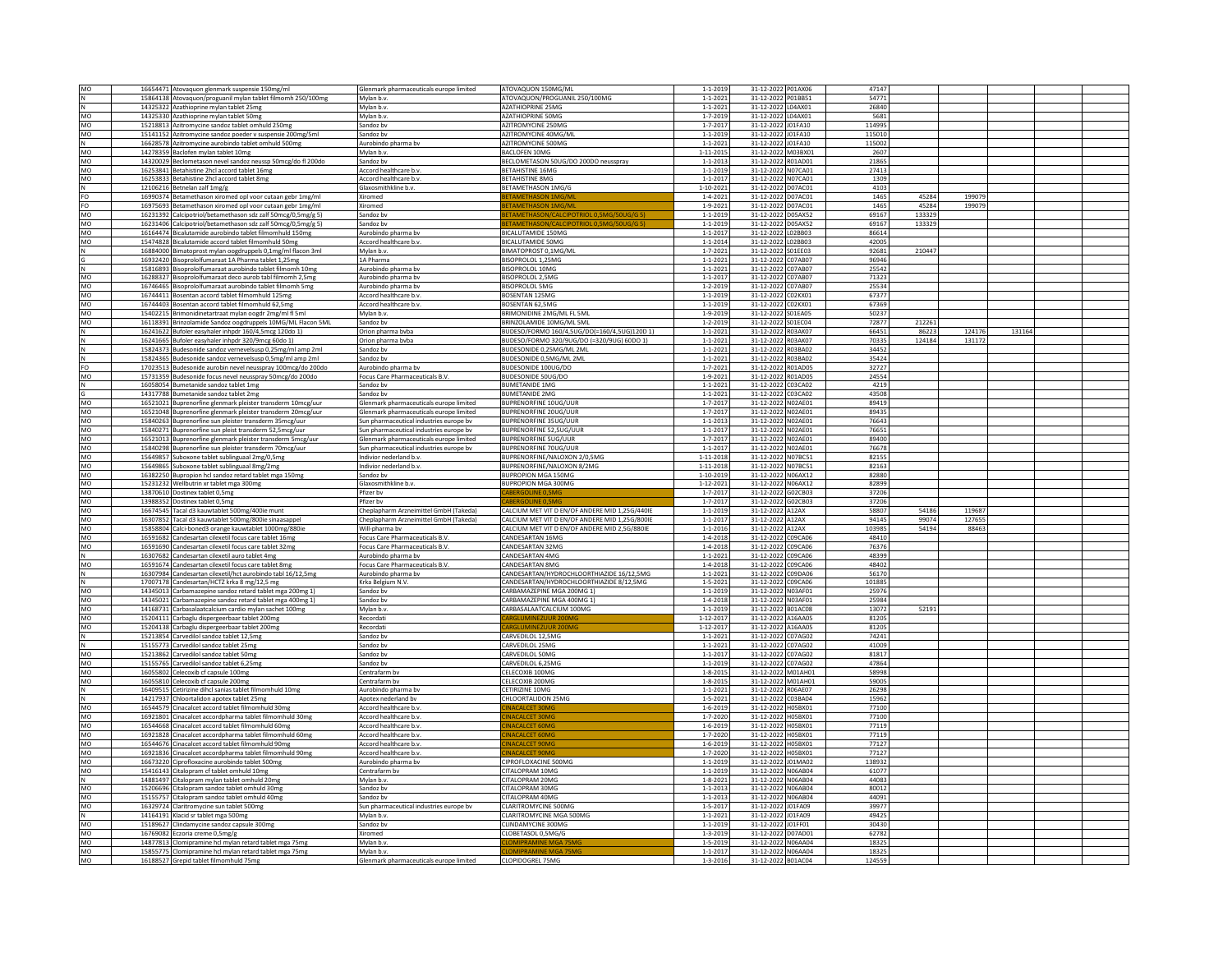| MO              | 16654471 Atovaquon glenmark suspensie 150mg/ml                                                                    | Glenmark pharmaceuticals europe limited | ATOVAQUON 150MG/ML                             | $1 - 1 - 2019$  | 31-12-2022 P01AX06                       | 47147           |        |        |        |  |
|-----------------|-------------------------------------------------------------------------------------------------------------------|-----------------------------------------|------------------------------------------------|-----------------|------------------------------------------|-----------------|--------|--------|--------|--|
|                 | 15864138 Atovaquon/proguanil mylan tablet filmomh 250/100mg                                                       | Mylan b.v.                              | ATOVAQUON/PROGUANIL 250/100MG                  | $1 - 1 - 2021$  | 31-12-2022 P01BB51                       | 54771           |        |        |        |  |
|                 | 14325322 Azathioprine mylan tablet 25mg                                                                           | Mylan b.v.                              | AZATHIOPRINE 25MG                              | $1 - 1 - 2021$  | 31-12-2022 L04AX01                       | 26840           |        |        |        |  |
| MO              | 14325330 Azathioprine mylan tablet 50mg                                                                           | Mylan b.v.                              | <b>AZATHIOPRINE 50MG</b>                       | $1 - 7 - 2019$  | 31-12-2022 L04AX01                       | 5681            |        |        |        |  |
|                 |                                                                                                                   |                                         |                                                |                 |                                          |                 |        |        |        |  |
| <b>MO</b>       | 15218813 Azitromycine sandoz tablet omhuld 250mg                                                                  | Sandoz by                               | AZITROMYCINE 250MG                             | $1 - 7 - 2017$  | 31-12-2022 J01FA10                       | 114995          |        |        |        |  |
| MO              | 15141152 Azitromycine sandoz poeder v suspensie 200mg/5ml                                                         | Sandoz bv                               | AZITROMYCINE 40MG/ML                           | $1 - 1 - 2019$  | 31-12-2022 J01FA10                       | 115010          |        |        |        |  |
|                 | 16628578 Azitromycine aurobindo tablet omhuld 500mg                                                               | Aurobindo pharma bv                     | AZITROMYCINE 500MG                             | $1 - 1 - 2021$  | 31-12-2022 J01FA10                       | 115002          |        |        |        |  |
| <b>MO</b>       | 14278359 Baclofen mylan tablet 10mg                                                                               | Mylan b.v.                              | <b>BACLOFEN 10MG</b>                           | 1-11-2015       | 31-12-2022 M03BX01                       | 2607            |        |        |        |  |
| MO              | 14320029 Beclometason nevel sandoz neussp 50mcg/do fl 200do                                                       | Sandoz by                               | BECLOMETASON 50UG/DO 200DO neusspray           | $1 - 1 - 2013$  | 31-12-2022 R01AD01                       | 21865           |        |        |        |  |
| <b>MO</b>       | 16253841 Betahistine 2hcl accord tablet 16mg                                                                      | Accord healthcare b.v.                  | <b>BETAHISTINE 16MG</b>                        | $1 - 1 - 2019$  | 31-12-2022 N07CA01                       | 27413           |        |        |        |  |
| MO              | 16253833 Betahistine 2hcl accord tablet 8mg                                                                       | Accord healthcare b.v                   | <b>BETAHISTINE 8MG</b>                         | $1 - 1 - 2017$  | 31-12-2022 NO7CA01                       | 1309            |        |        |        |  |
|                 |                                                                                                                   | Glaxosmithkline b.v.                    | <b>BETAMETHASON 1MG/G</b>                      | 1-10-2021       | 31-12-2022 D07AC01                       | 4103            |        |        |        |  |
| ΙN              | 12106216 Betnelan zalf 1mg/g                                                                                      |                                         |                                                |                 |                                          |                 |        |        |        |  |
| FO              | 16990374 Betamethason xiromed opl voor cutaan gebr 1mg/ml                                                         | Xiromed                                 | ETAMETHASON 1MG/N                              | $1 - 4 - 2021$  | 31-12-2022 D07AC01                       | 1465            | 45284  | 199079 |        |  |
| FO              | 16975693 Betamethason xiromed opl voor cutaan gebr 1mg/ml                                                         | Xiromed                                 |                                                | $1 - 9 - 202$   | 31-12-2022 D07AC01                       | 1465            | 45284  | 199079 |        |  |
| MO              | 16231392 Calcipotriol/betamethason sdz zalf 50mcg/0,5mg/g 5)                                                      | Sandoz by                               | TAMETHASON/CALCIPOTRIOL 0,5MG/50UG             | $1 - 1 - 2019$  | 31-12-2022 D05AX52                       | 69167           | 133329 |        |        |  |
| MO              | 16231406 Calcipotriol/betamethason sdz zalf 50mcg/0,5mg/g 5)                                                      | Sandoz bv                               | TAMETHASON/CALCIPOTRIOL 0.5MG/50UG/G           | $1 - 1 - 2019$  | 31-12-2022 D05AX52                       | 69167           | 133329 |        |        |  |
| <b>MO</b>       | 16164474 Bicalutamide aurobindo tablet filmomhuld 150mg                                                           | Aurobindo pharma by                     | <b>BICALUTAMIDE 150MG</b>                      | $1 - 1 - 201$   | 31-12-2022 L02BB03                       | 86614           |        |        |        |  |
| MO              | 15474828 Bicalutamide accord tablet filmomhuld 50mg                                                               | Accord healthcare b.v.                  | BICALUTAMIDE 50MG                              | $1 - 1 - 2014$  | 31-12-2022 L02BB03                       | 42005           |        |        |        |  |
|                 |                                                                                                                   | Mylan b.v.                              | BIMATOPROST 0.1MG/ML                           | $1 - 7 - 2021$  | 31-12-2022 SO1EE03                       | 92681           | 210447 |        |        |  |
|                 | 16884000 Bimatoprost mylan oogdruppels 0,1mg/ml flacon 3ml<br>16932420 Bisoprololfumaraat 1A Pharma tablet 1,25mg | 1A Pharma                               | BISOPROLOL 1,25MG                              | $1 - 1 - 2021$  | 31-12-2022 C07AB07                       | 96946           |        |        |        |  |
|                 |                                                                                                                   |                                         |                                                |                 |                                          |                 |        |        |        |  |
|                 | 15816893 Bisoprololfumaraat aurobindo tablet filmomh 10me                                                         | Aurobindo pharma by                     | <b>BISOPROLOL 10MG</b>                         | $1 - 1 - 2021$  | 31-12-2022 C07AB07                       | 25542           |        |        |        |  |
| MO              | 16288327 Bisoprololfumaraat deco aurob tabl filmomh 2,5mg                                                         | Aurobindo pharma bv                     | BISOPROLOL 2,5MG                               | $1 - 1 - 2017$  | 31-12-2022 C07AB07                       | 71323           |        |        |        |  |
| MO              | 16746465 Bisoprololfumaraat aurobindo tablet filmomh 5mg                                                          | Aurobindo pharma bv                     | <b>BISOPROLOL 5MG</b>                          | $1 - 2 - 2019$  | 31-12-2022 C07AB07                       | 25534           |        |        |        |  |
| <b>MO</b>       | 16744411 Bosentan accord tablet filmomhuld 125mg                                                                  | Accord healthcare b.v                   | <b>BOSENTAN 125MG</b>                          | $1 - 1 - 2019$  | 31-12-2022 C02KX01                       | 67377           |        |        |        |  |
| MO              | 16744403 Bosentan accord tablet filmomhuld 62,5mg                                                                 | Accord healthcare b.v                   | BOSENTAN 62,5MG                                | $1 - 1 - 2019$  | 31-12-2022 C02KX01                       | 67369           |        |        |        |  |
| <b>MO</b>       | 15402215 Brimonidinetartraat mylan oogdr 2mg/ml fl 5ml                                                            | Mylan b.y                               | BRIMONIDINE 2MG/ML FL 5ML                      | $1 - 9 - 2019$  | 31-12-2022 S01EA05                       | 50237           |        |        |        |  |
| MO              | 16118391 Brinzolamide Sandoz oogdruppels 10MG/ML Flacon 5ML                                                       | Sandoz bv                               | BRINZOLAMIDE 10MG/ML 5ML                       | $1 - 2 - 2019$  | 31-12-2022 S01EC04                       | 72877           | 212261 |        |        |  |
|                 | 16241622 Bufoler easyhaler inhpdr 160/4,5mcg 120do 1)                                                             | Orion pharma bvba                       | 3UDESO/FORMO 160/4,5UG/DO(=160/4,5UG)120D 1)   | $1 - 1 - 2021$  | 31-12-2022 R03AK07                       | 66451           | 86223  | 124176 | 131164 |  |
|                 |                                                                                                                   |                                         |                                                |                 |                                          |                 |        |        |        |  |
|                 | 16241665 Bufoler easyhaler inhpdr 320/9mcg 60do 1)                                                                | Orion pharma bvba                       | BUDESO/FORMO 320/9UG/DO (=320/9UG) 60DO 1)     | $1 - 1 - 2021$  | 31-12-2022 R03AK07                       | 70335           | 124184 | 131172 |        |  |
|                 | 15824373 Budesonide sandoz vernevelsusp 0,25mg/ml amp 2ml                                                         | Sandoz bv                               | BUDESONIDE 0,25MG/ML 2ML                       | $1 - 1 - 2021$  | 31-12-2022 R03BA02                       | 34452           |        |        |        |  |
| N               | 15824365 Budesonide sandoz vernevelsusp 0,5mg/ml amp 2ml                                                          | Sandoz by                               | <b>BUDESONIDE 0.5MG/ML2ML</b>                  | $1 - 1 - 2021$  | 31-12-2022 R03BA02                       | 35424           |        |        |        |  |
| FO              | 17023513 Budesonide aurobin nevel neusspray 100mcg/do 200do                                                       | Aurobindo pharma bv                     | BUDESONIDE 100UG/DO                            | $1 - 7 - 2021$  | 31-12-2022 R01AD05                       | 32727           |        |        |        |  |
| MO              | 15731359 Budesonide focus nevel neusspray 50mcg/do 200do                                                          | Focus Care Pharmaceuticals B.V.         | BUDESONIDE 50UG/DO                             | $1 - 9 - 2021$  | 31-12-2022 R01AD05                       | 24554           |        |        |        |  |
|                 | 16058054 Bumetanide sandoz tablet 1mg                                                                             | Sandoz by                               | <b>BUMETANIDE 1MG</b>                          | $1 - 1 - 2021$  | 31-12-2022 C03CA02                       | 4219            |        |        |        |  |
|                 | 14317788 Bumetanide sandoz tablet 2mg                                                                             | Sandoz by                               | <b>BUMETANIDE 2MG</b>                          | $1 - 1 - 2021$  | 31-12-2022 C03CA02                       | 43508           |        |        |        |  |
| MO              | 16521021 Buprenorfine glenmark pleister transderm 10mcg/uur                                                       | Glenmark pharmaceuticals europe limited | <b>BUPRENORFINE 10UG/UUR</b>                   | $1 - 7 - 2017$  | 31-12-2022 NO2AE01                       | 89419           |        |        |        |  |
|                 |                                                                                                                   |                                         |                                                |                 |                                          |                 |        |        |        |  |
| <b>MO</b>       | 16521048 Buprenorfine glenmark pleister transderm 20mcg/uur                                                       | Glenmark pharmaceuticals europe limited | <b>BUPRENORFINE 20UG/UUR</b>                   | $1 - 7 - 2017$  | 31-12-2022 NO2AE01                       | 89435           |        |        |        |  |
| <b>MO</b>       | 15840263 Buprenorfine sun pleister transderm 35mcg/uur                                                            | Sun pharmaceutical industries europe bv | <b>BUPRENORFINE 35UG/UUR</b>                   | $1 - 1 - 2013$  | 31-12-2022 NO2AE01                       | 76643           |        |        |        |  |
| MO              | 15840271 Buprenorfine sun pleist transderm 52,5mcg/uur                                                            | Sun pharmaceutical industries europe bv | BUPRENORFINE 52,5UG/UUR                        | $1 - 1 - 201$   | 31-12-2022 NO2AE01                       | 76651           |        |        |        |  |
| <b>MO</b>       | 16521013 Buprenorfine glenmark pleister transderm 5mcg/uur                                                        | Glenmark pharmaceuticals europe limited | <b>BUPRENORFINE 5UG/UUR</b>                    | $1 - 7 - 2017$  | 31-12-2022 NO2AE01                       | 89400           |        |        |        |  |
| MO              | 15840298 Buprenorfine sun pleister transderm 70mcg/uur                                                            | Sun pharmaceutical industries europe by | <b>BUPRENORFINE 70UG/UUR</b>                   | $1 - 1 - 2017$  | 31-12-2022 NO2AE01                       | 76678           |        |        |        |  |
| MO              | 15649857 Suboxone tablet sublinguaal 2mg/0,5mg                                                                    | Indivior nederland b.v                  | 3UPRENORFINE/NALOXON 2/0,5MG                   | 1-11-2018       | 31-12-2022 NO7BC51                       | 82155           |        |        |        |  |
| <b>MO</b>       | 15649865 Suboxone tablet sublinguaal 8mg/2mg                                                                      | Indivior nederland b.v.                 | <b>BUPRENORFINE/NALOXON 8/2MG</b>              | 1-11-2018       | 31-12-2022 N07BC51                       | 82163           |        |        |        |  |
|                 |                                                                                                                   |                                         |                                                |                 |                                          |                 |        |        |        |  |
|                 |                                                                                                                   |                                         |                                                |                 |                                          |                 |        |        |        |  |
| MO              | 16382250 Bupropion hcl sandoz retard tablet mga 150mg                                                             | Sandoz bv                               | <b>BUPROPION MGA 150MG</b>                     | 1-10-2019       | 31-12-2022 N06AX12                       | 82880           |        |        |        |  |
| <b>MO</b>       | 15231232 Wellbutrin xr tablet mga 300mg                                                                           | Glaxosmithkline b.v.                    | <b>BUPROPION MGA 300MG</b>                     | 1-12-2021       | 31-12-2022 N06AX12                       | 82899           |        |        |        |  |
| MO              | 13870610 Dostinex tablet 0,5mg                                                                                    | Pfizer by                               |                                                | $1 - 7 - 201$   | 31-12-2022 G02CB03                       | 37206           |        |        |        |  |
| <b>MO</b>       | 13988352 Dostinex tablet 0.5mg                                                                                    | Pfizer by                               | ABERGOLINE 0.5M                                | $1 - 7 - 2017$  | 31-12-2022 G02CB03                       | 37206           |        |        |        |  |
| MO              | 16674545 Tacal d3 kauwtablet 500mg/400ie munt                                                                     | Cheplapharm Arzneimittel GmbH (Takeda)  | CALCIUM MET VIT D EN/OF ANDERE MID 1,25G/440IE | $1 - 1 - 2019$  | 31-12-2022 A12AX                         | 58807           | 54186  | 119687 |        |  |
| MO              | 16307852 Tacal d3 kauwtablet 500mg/800ie sinaasappel                                                              | Cheplapharm Arzneimittel GmbH (Takeda)  | ALCIUM MET VIT D EN/OF ANDERE MID 1.25G/800IE  | $1 - 1 - 2017$  | 31-12-2022 A12AX                         | 94145           | 99074  | 127655 |        |  |
| MO              |                                                                                                                   | Will-pharma bv                          | CALCIUM MET VIT D EN/OF ANDERE MID 2.5G/880IE  | $1 - 1 - 2016$  | 31-12-2022 A12AX                         | 103985          | 54194  | 88463  |        |  |
|                 | 15858804 Calci-boned3 orange kauwtablet 1000mg/880ie                                                              |                                         | CANDESARTAN 16MG                               |                 |                                          | 48410           |        |        |        |  |
| MO              | 16591682 Candesartan cilexetil focus care tablet 16mg                                                             | Focus Care Pharmaceuticals B.V.         |                                                | $1 - 4 - 2018$  | 31-12-2022 C09CA06                       |                 |        |        |        |  |
| <b>MO</b>       | 16591690 Candesartan cilexetil focus care tablet 32mg                                                             | Focus Care Pharmaceuticals B.V.         | CANDESARTAN 32MG                               | $1 - 4 - 2018$  | 31-12-2022 C09CA06                       | 76376           |        |        |        |  |
|                 | 16307682 Candesartan cilexetil auro tablet 4mg                                                                    | Aurobindo pharma bv                     | CANDESARTAN 4MG                                | $1 - 1 - 2021$  | 31-12-2022 C09CA06                       | 48399           |        |        |        |  |
| <b>MO</b>       | 16591674 Candesartan cilexetil focus care tablet 8mg                                                              | Focus Care Pharmaceuticals B.V.         | CANDESARTAN 8MG                                | $1 - 4 - 2018$  | 31-12-2022 C09CA06                       | 48402           |        |        |        |  |
|                 | 16307984 Candesartan cilexetil/hct aurobindo tabl 16/12,5mg                                                       | Aurobindo pharma bv                     | CANDESARTAN/HYDROCHLOORTHIAZIDE 16/12,5MG      | $1 - 1 - 2021$  | 31-12-2022 C09DA06                       | 56170           |        |        |        |  |
|                 | 17007178 Candesartan/HCTZ krka 8 mg/12,5 mg                                                                       | Krka Belgium N.V.                       | ANDESARTAN/HYDROCHLOORTHIAZIDE 8/12,5MG        | $1 - 5 - 2021$  | 31-12-2022 C09CA06                       | 101885          |        |        |        |  |
| <b>MO</b>       | 14345013 Carbamazepine sandoz retard tablet mga 200mg 1)                                                          | Sandoz bv                               | CARBAMAZEPINE MGA 200MG 1)                     | $1 - 1 - 2019$  | 31-12-2022 N03AF01                       | 25976           |        |        |        |  |
| MO              | 14345021 Carbamazepine sandoz retard tablet mga 400mg 1)                                                          | Sandoz by                               | CARBAMAZEPINE MGA 400MG 1)                     | $1 - 4 - 2018$  | 31-12-2022 N03AF01                       | 25984           |        |        |        |  |
| MO              | 14168731 Carbasalaatcalcium cardio mylan sachet 100mg                                                             | Mylan b.v                               | CARRASALAATCALCIUM 100MG                       | $1 - 1 - 2019$  | 31-12-2022 B01AC08                       | 13072           | 52191  |        |        |  |
| MO              |                                                                                                                   | Recordat                                |                                                | $1 - 12 - 201$  | 31-12-2022 A16AA05                       | 81205           |        |        |        |  |
| <b>MO</b>       | 15204111 Carbaglu dispergeerbaar tablet 200mg                                                                     | Recordati                               | ARGI UMINEZUUR 200M                            | $1 - 12 - 2017$ | 31-12-2022 A16AA05                       | 81205           |        |        |        |  |
|                 | 15204138 Carbaglu dispergeerbaar tablet 200mg                                                                     |                                         |                                                |                 |                                          |                 |        |        |        |  |
|                 | 15213854 Carvedilol sandoz tablet 12,5mg                                                                          | Sandoz bv                               | CARVEDILOL 12,5MG                              | $1 - 1 - 2021$  | 31-12-2022 C07AG02                       | 74241           |        |        |        |  |
|                 | 15155773 Carvedilol sandoz tablet 25mg                                                                            | Sandoz bv                               | CARVEDILOL 25MG                                | $1 - 1 - 2021$  | 31-12-2022 C07AG02                       | 41009           |        |        |        |  |
| <b>MO</b>       | 15213862 Carvedilol sandoz tablet 50mg                                                                            | Sandoz by                               | CARVEDILOL 50MG                                | $1 - 1 - 2017$  | 31-12-2022 C07AG02                       | 81817           |        |        |        |  |
| MO              | 15155765 Carvedilol sandoz tablet 6,25mg                                                                          | Sandoz bv                               | CARVEDILOL 6,25MG                              | $1 - 1 - 2019$  | 31-12-2022 C07AG02                       | 47864           |        |        |        |  |
| <b>MO</b>       | 16055802 Celecoxib cf capsule 100mg                                                                               | Centrafarm by                           | CELECOXIB 100MG                                | $1 - 8 - 2015$  | 31-12-2022 M01AH01                       | 58998           |        |        |        |  |
| MO              | 16055810 Celecoxib cf capsule 200mg                                                                               | Centrafarm bv                           | CELECOXIB 200MG                                | $1 - 8 - 2015$  | 31-12-2022 M01AH01                       | 59005           |        |        |        |  |
|                 | 16409515 Cetirizine dihcl sanias tablet filmomhuld 10mg                                                           | Aurobindo pharma bv                     | CETIRIZINE 10MG                                | $1 - 1 - 2021$  | 31-12-2022 R06AE07                       | 26298           |        |        |        |  |
|                 | 14217937 Chloortalidon apotex tablet 25mg                                                                         | Apotex nederland bv                     | CHLOORTALIDON 25MG                             | $1 - 5 - 2021$  | 31-12-2022 C03BA04                       | 15962           |        |        |        |  |
| <b>MO</b>       | 16544579 Cinacalcet accord tablet filmomhuld 30mg                                                                 | Accord healthcare b.v                   |                                                | $1 - 6 - 2019$  | 31-12-2022 H05BX01                       | 77100           |        |        |        |  |
| MO              |                                                                                                                   | Accord healthcare b.v                   | NACALCET 30M                                   |                 | 31-12-2022 H05BX01                       | 77100           |        |        |        |  |
|                 | 16921801 Cinacalcet accordpharma tablet filmomhuld 30mg                                                           |                                         |                                                | $1 - 7 - 2020$  |                                          |                 |        |        |        |  |
| MO              | 16544668 Cinacalcet accord tablet filmomhuld 60mg                                                                 | Accord healthcare b.v                   | NACALCET 60M                                   | $1 - 6 - 2019$  | 31-12-2022 H05BX01                       | 77119           |        |        |        |  |
| <b>MO</b>       | 16921828 Cinacalcet accordpharma tablet filmomhuld 60mg                                                           | Accord healthcare b.v                   | <b>NACALCET 60M</b>                            | $1 - 7 - 2020$  | 31-12-2022 H05BX01                       | 77119           |        |        |        |  |
| MO              | 16544676 Cinacalcet accord tablet filmomhuld 90mg                                                                 | Accord healthcare b.v                   | <b>MACALCET QON</b>                            | $1 - 6 - 2019$  | 31-12-2022 H05BX01                       | 77127           |        |        |        |  |
| <b>MO</b>       | 16921836 Cinacalcet accordpharma tablet filmomhuld 90mg                                                           | Accord healthcare b.v                   | <b>INACALCET 90M</b>                           | $1 - 7 - 2020$  | 31-12-2022 H05BX01                       | 77127           |        |        |        |  |
| MO              | 16673220 Ciprofloxacine aurobindo tablet 500mg                                                                    | Aurobindo pharma bv                     | CIPROFLOXACINE 500MG                           | $1 - 1 - 2019$  | 31-12-2022 J01MA02                       | 138932          |        |        |        |  |
| MO              | 15416143 Citalopram cf tablet omhuld 10mg                                                                         | Centrafarm by                           | CITALOPRAM 10MG                                | 1-1-2019        | 31-12-2022 N06AB04                       | 61077           |        |        |        |  |
| IN.             |                                                                                                                   | Mylan b.v.                              | CITALOPRAM 20MG                                | $1 - 8 - 2021$  | 31-12-2022 N06AB04                       | 44083           |        |        |        |  |
| MO              | 14881497 Citalopram mylan tablet omhuld 20mg<br>15206696 Citalopram sandoz tablet omhuld 30mg                     | Sandoz by                               | CITALOPRAM 30MG                                | $1 - 1 - 2013$  | 31-12-2022 N06AB04                       | 80012           |        |        |        |  |
| MO              | 15155757 Citalopram sandoz tablet omhuld 40mg                                                                     | Sandoz by                               | CITALOPRAM 40MG                                | $1 - 1 - 2013$  |                                          | 44091           |        |        |        |  |
|                 |                                                                                                                   |                                         |                                                |                 | 31-12-2022 N06AB04                       |                 |        |        |        |  |
| MO              | 16329724 Claritromycine sun tablet 500mg                                                                          | Sun pharmaceutical industries europe bv | CLARITROMYCINE 500MG                           | $1 - 5 - 201$   | 31-12-2022 J01FA09                       | 39977           |        |        |        |  |
|                 | 14164191 Klacid sr tablet mga 500mg                                                                               | Mylan b.y                               | <b>CLARITROMYCINE MGA 500MG</b>                | $1 - 1 - 2021$  | 31-12-2022 J01FA09                       | 49425           |        |        |        |  |
| <b>MO</b>       | 15189627 Clindamycine sandoz capsule 300mg                                                                        | Sandoz bv                               | CLINDAMYCINE 300MG                             | $1 - 1 - 2019$  | 31-12-2022 J01FF01                       | 30430           |        |        |        |  |
| <b>MO</b>       | 16769082 Eczoria creme 0,5mg/g                                                                                    | Xiromed                                 | LOBETASOL 0,5MG/G                              | $1 - 3 - 2019$  | 31-12-2022 D07AD01                       | 62782           |        |        |        |  |
| MO              | 14877813 Clomipramine hcl mylan retard tablet mga 75mg                                                            | Mylan b.y                               | <b>OMIPRAMINE MGA 7</b>                        | $1 - 5 - 2019$  | 31-12-2022 N06AA04                       | 18325           |        |        |        |  |
| MO<br><b>MO</b> | 15855775 Clomipramine hcl mylan retard tablet mga 75mg<br>16188527 Grenid tablet filmomhuld 75mg                  | Mylan b.v.                              | LOMIPRAMINE MGA 75MG<br>CLOPIDOGREL 75MG       | $1 - 1 - 2017$  | 31-12-2022 N06AA04<br>31-12-2022 B01AC04 | 18325<br>124559 |        |        |        |  |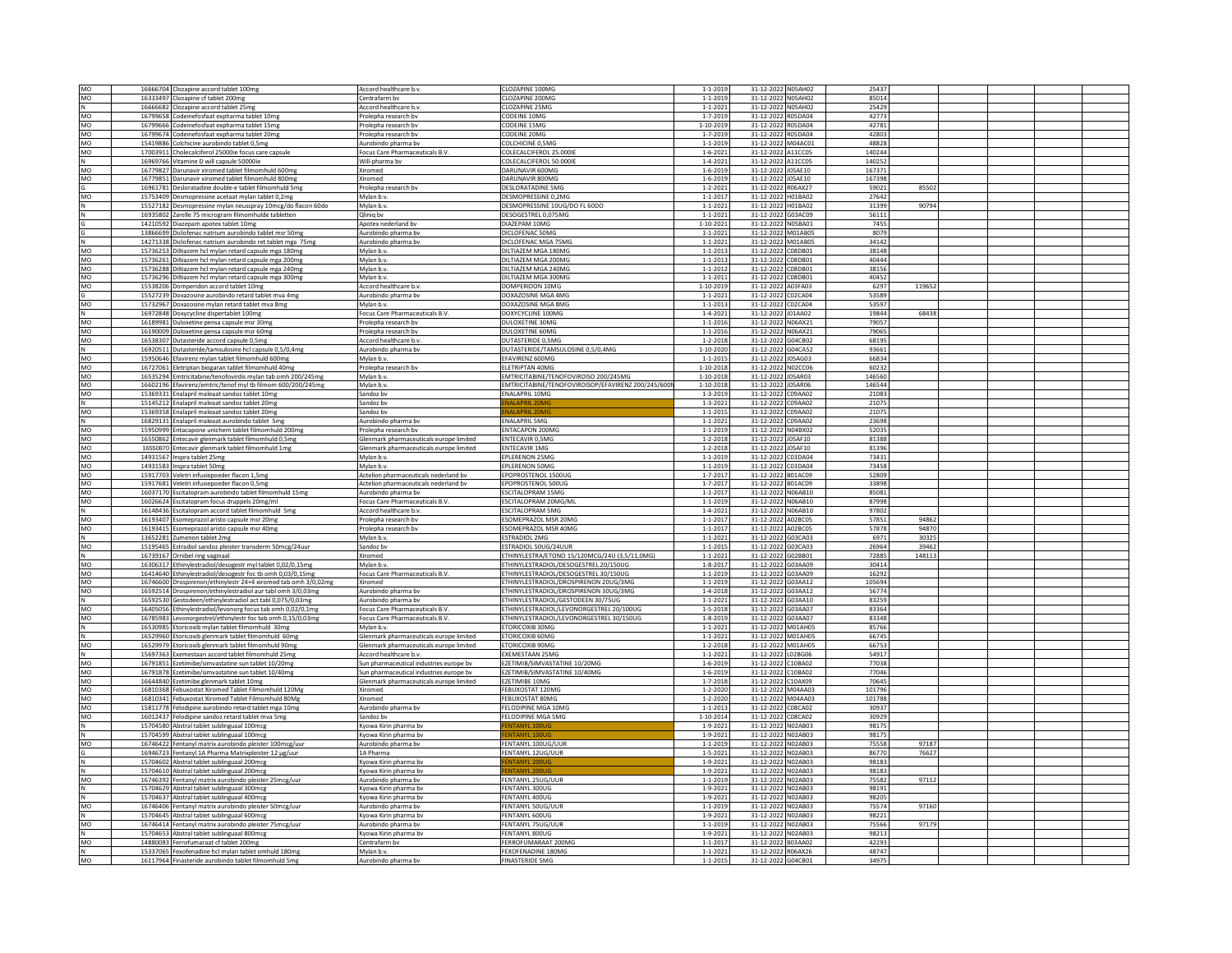|                      | 16666704 Clozapine accord tablet 100mg                                                                      | Accord healthcare b.v                   | CLOZAPINE 100MG                                     | $1 - 1 - 2019$                   | 31-12-2022 N05AH02                       | 25437          |        |  |
|----------------------|-------------------------------------------------------------------------------------------------------------|-----------------------------------------|-----------------------------------------------------|----------------------------------|------------------------------------------|----------------|--------|--|
| MO                   |                                                                                                             |                                         |                                                     |                                  |                                          |                |        |  |
| MO                   | 16333497 Clozapine cf tablet 200mg                                                                          | Centrafarm bv                           | CLOZAPINE 200MG                                     | $1 - 1 - 2019$                   | 31-12-2022 N05AH02                       | 85014          |        |  |
| $\mathbb N$          | 16666682 Clozapine accord tablet 25mg                                                                       | Accord healthcare b.v.                  | CLOZAPINE 25MG                                      | $1 - 1 - 2021$                   | 31-12-2022 N05AH02                       | 25429          |        |  |
| MO                   | 16799658 Codeinefosfaat expharma tablet 10mg                                                                | Prolepha research bv                    | CODEINE 10MG                                        | $1 - 7 - 2019$                   | 31-12-2022 R05DA04                       | 42773          |        |  |
| MO                   | 16799666 Codeinefosfaat expharma tablet 15me                                                                | Prolepha research by                    | CODEINE 15MG                                        | 1-10-2019                        | 31-12-2022 R05DA04                       | 42781          |        |  |
| MO                   | 16799674 Codeinefosfaat expharma tablet 20me                                                                | Prolepha research by                    | CODEINE 20MG                                        | $1 - 7 - 2019$                   | 31-12-2022 R05DA04                       | 42803          |        |  |
| MO                   | 15419886 Colchicine aurobindo tablet 0,5mg                                                                  | Aurobindo pharma by                     | COLCHICINE 0,5MC                                    | $1 - 1 - 2019$                   | 31-12-2022 M04AC01                       | 48828          |        |  |
| MO                   | 17003911 Cholecalciferol 25000ie focus care capsule                                                         | Focus Care Pharmaceuticals B.V.         | COLECALCIFEROL 25.000IE                             | $1 - 6 - 2021$                   | 31-12-2022 A11CC05                       | 140244         |        |  |
|                      |                                                                                                             |                                         |                                                     |                                  |                                          |                |        |  |
| N                    | 16969766 Vitamine D will capsule 50000ie                                                                    | Will-pharma bv                          | COLECALCIFEROL 50.000IE                             | $1 - 4 - 2021$                   | 31-12-2022 A11CC05                       | 140252         |        |  |
| MO                   | 16779827 Darunavir xiromed tablet filmomhuld 600mg                                                          | Xiromed                                 | DARUNAVIR 600MG                                     | $1 - 6 - 2019$                   | 31-12-2022 J05AE10                       | 167371         |        |  |
| MO                   | 16779851 Darunavir xiromed tablet filmomhuld 800mg                                                          | Xiromed                                 | DARUNAVIR 800MG                                     | $1 - 6 - 2019$                   | 31-12-2022 IOSAE10                       | 167398         |        |  |
|                      | 16961781 Desloratadine double-e tablet filmomhuld 5mg                                                       | Prolepha research bv                    | DESLORATADINE 5MG                                   | $1 - 2 - 2021$                   | 31-12-2022 R06AX27                       | 59021          | 85502  |  |
|                      |                                                                                                             |                                         | DESMOPRESSINE 0.2MG                                 | $1 - 1 - 2017$                   | 31-12-2022 H01BA02                       | 27642          |        |  |
| MO                   | 15753409 Desmopressine acetaat mylan tablet 0,2mg                                                           | Mylan h.v.                              |                                                     |                                  |                                          |                |        |  |
|                      | 15527182 Desmopressine mylan neusspray 10mcg/do flacon 60do                                                 | Mylan b.v                               | DESMOPRESSINE 10UG/DO FL 60DO                       | $1 - 1 - 202$                    | 31-12-2022 H01BA02                       | 31399          | 90794  |  |
| N                    | 16935802 Zarelle 75 microgram filmomhulde tabletten                                                         | Qliniq by                               | DESOGESTREL 0.075MG                                 | $1 - 1 - 2021$                   | 31-12-2022 G03AC09                       | 56111          |        |  |
|                      | 14210592 Diazepam apotex tablet 10mg                                                                        | Apotex nederland bv                     | DIAZEPAM 10MG                                       | $1 - 10 - 2021$                  | 31-12-2022 N05BA01                       | 7455           |        |  |
|                      | 13866699 Diclofenac natrium aurobindo tablet msr 50mg                                                       | Aurobindo pharma bv                     | DICLOFENAC 50MG                                     | $1 - 1 - 2021$                   | 31-12-2022 M01AB05                       | 8079           |        |  |
|                      |                                                                                                             |                                         |                                                     |                                  |                                          |                |        |  |
| N                    | 14271338 Diclofenac natrium aurobindo ret tablet mga 75m                                                    | Aurobindo pharma bv                     | DICLOFENAC MGA 75MG                                 | $1 - 1 - 2021$                   | 31-12-2022 M01AB05                       | 34142          |        |  |
| MO                   | 15736253 Diltiazem hcl mylan retard capsule mga 180mg                                                       | Mylan b.v.                              | DILTIAZEM MGA 180MG                                 | $1 - 1 - 2013$                   | 31-12-2022 C08DB01                       | 38148          |        |  |
| MO                   | 15736261 Diltiazem hcl mylan retard capsule mga 200mg                                                       | Mylan b.y                               | DILTIAZEM MGA 200MG                                 | $1 - 1 - 2013$                   | 31-12-2022 C08DB01                       | 40444          |        |  |
| MO                   | 15736288 Diltiazem hcl mylan retard capsule mga 240mg                                                       | Mylan b.v                               | DILTIAZEM MGA 240MG                                 | $1 - 1 - 2012$                   | 31-12-2022 C08DB01                       | 38156          |        |  |
| MO                   | 15736296 Diltiazem hcl mylan retard capsule mga 300mg                                                       | Mylan b.v.                              | DILTIAZEM MGA 300MG                                 | $1 - 1 - 2011$                   | 31-12-2022 C08DB01                       | 40452          |        |  |
| MO                   |                                                                                                             | Accord healthcare b.v.                  | DOMPERIDON 10MG                                     |                                  | 31-12-2022 A03FA03                       | 6297           | 119652 |  |
|                      | 15538206 Domperidon accord tablet 10mg                                                                      |                                         |                                                     | 1-10-2019                        |                                          |                |        |  |
|                      | 15527239 Doxazosine aurobindo retard tablet mva 4mg                                                         | Aurobindo pharma bv                     | DOXAZOSINE MGA 4MG                                  | $1 - 1 - 2021$                   | 31-12-2022 C02CA04                       | 53589          |        |  |
| MO                   | 15732967 Doxazosine mylan retard tablet mva 8mg                                                             | Mylan b.v.                              | DOXAZOSINE MGA 8MG                                  | $1 - 1 - 2013$                   | 31-12-2022 C02CA04                       | 53597          |        |  |
| N                    | 16972848 Doxycycline dispertablet 100mg                                                                     | Ocus Care Pharmaceuticals B.V.          | DOXYCYCLINE 100MG                                   | $1 - 4 - 2021$                   | 31-12-2022 J01AA02                       | 19844          | 68438  |  |
| MO                   | 16189981 Duloxetine pensa capsule msr 30mg                                                                  | Prolepha research by                    | DULOXETINE 30MG                                     | $1 - 1 - 2016$                   | 31-12-2022 N06AX21                       | 79057          |        |  |
|                      |                                                                                                             |                                         |                                                     |                                  |                                          | 79065          |        |  |
| MO                   | 16190009 Duloxetine pensa capsule msr 60mg                                                                  | Prolepha research by                    | DULOXETINE 60MG                                     | $1 - 1 - 2016$                   | 31-12-2022 N06AX21                       |                |        |  |
| MO                   | 16538307 Dutasteride accord capsule 0,5mg                                                                   | Accord healthcare b.v                   | DUTASTERIDE 0.5MG                                   | $1 - 2 - 2018$                   | 31-12-2022 G04CB02                       | 68195          |        |  |
| N                    | 16920511 Dutasteride/tamsulosine hcl capsule 0,5/0,4mg                                                      | Aurobindo pharma bv                     | DUTASTERIDE/TAMSULOSINE 0,5/0,4MG                   | 1-10-2020                        | 31-12-2022 G04CA52                       | 93661          |        |  |
| MO                   | 15950646 Efavirenz mylan tablet filmomhuld 600mg                                                            | Mylan b.v.                              | FAVIRENZ 600MG                                      | $1 - 1 - 2015$                   | 31-12-2022 J05AG03                       | 66834          |        |  |
| MO                   |                                                                                                             | Prolepha research by                    | <b>FI FTRIPTAN 40MG</b>                             | 1-10-2018                        | 31-12-2022 N02CC06                       | 60232          |        |  |
|                      | 16727061 Eletriptan biogaran tablet filmomhuld 40mg                                                         |                                         |                                                     |                                  |                                          |                |        |  |
| MO                   | 16535294 Emtricitabine/tenofovirdis mylan tab omh 200/245mg                                                 | Mylan b.v                               | EMTRICITABINE/TENOFOVIRDISO 200/245MG               | 1-10-2018                        | 31-12-2022 J05AR03                       | 146560         |        |  |
| MO                   | 16602196 Efavirenz/emtric/tenof myl tb filmom 600/200/245me                                                 | Mylan b.y                               | EMTRICITABINE/TENOFOVIRDISOP/EFAVIRENZ 200/245/600M | 1-10-2018                        | 31-12-2022 J05AR06                       | 146544         |        |  |
| MO                   | 15369331 Enalapril maleaat sandoz tablet 10mg                                                               | Sandoz by                               | ENALAPRIL 10MG                                      | $1 - 3 - 2019$                   | 31-12-2022 C09AA02                       | 21083          |        |  |
| N                    | 15145212 Enalapril maleaat sandoz tablet 20mg                                                               | Sandoz bv                               |                                                     | $1 - 3 - 2021$                   | 31-12-2022 C09AA02                       | 21075          |        |  |
| MO                   |                                                                                                             |                                         | <b>JALAPRIL 20MG</b>                                |                                  |                                          |                |        |  |
|                      | 15369358 Enalapril maleaat sandoz tablet 20mg                                                               | Sandoz bv                               |                                                     | $1 - 1 - 2015$                   | 31-12-2022 C09AA02                       | 21075          |        |  |
| $\,$ N               | 16829131 Enalapril maleaat aurobindo tablet 5mg                                                             | Aurobindo pharma bv                     | ENALAPRIL 5MG                                       | $1 - 1 - 2021$                   | 31-12-2022 C09AA02                       | 23698          |        |  |
| MO                   | 15950999 Entacapone unichem tablet filmomhuld 200mg                                                         | Prolepha research bv                    | <b>ENTACAPON 200MG</b>                              | $1 - 1 - 2019$                   | 31-12-2022 N04BX02                       | 52035          |        |  |
| MO                   | 16550862 Entecavir glenmark tablet filmomhuld 0,5mg                                                         | Glenmark pharmaceuticals europe limited | <b>ENTECAVIR 0.5MG</b>                              | $1 - 2 - 2018$                   | 31-12-2022 J05AF10                       | 81388          |        |  |
| MO                   | 16550870 Entecavir glenmark tablet filmomhuld 1mg                                                           | Glenmark pharmaceuticals europe limited | <b>ENTECAVIR 1MG</b>                                | $1 - 2 - 2018$                   | 31-12-2022 J05AF10                       | 81396          |        |  |
| MO                   |                                                                                                             |                                         | EPLERENON 25MG                                      |                                  |                                          |                |        |  |
|                      | 14931567 Inspra tablet 25mg                                                                                 | Mylan b.v                               |                                                     | $1 - 1 - 2019$                   | 31-12-2022 C03DA04                       | 73431          |        |  |
| MO                   | 14931583 Inspra tablet 50mg                                                                                 | Mylan b.v.                              | EPLERENON 50MG                                      | $1 - 1 - 2019$                   | 31-12-2022 C03DA04                       | 73458          |        |  |
| MO                   | 15917703 Veletri infusiepoeder flacon 1,5mg                                                                 | Actelion pharmaceuticals nederland bv   | EPOPROSTENOL 1500UG                                 | $1 - 7 - 2017$                   | 31-12-2022 B01AC09                       | 52809          |        |  |
|                      |                                                                                                             | Actelion pharmaceuticals nederland bv   | POPROSTENOL 500UG                                   |                                  | 31-12-2022 B01AC09                       | 33898          |        |  |
|                      |                                                                                                             |                                         |                                                     |                                  |                                          |                |        |  |
| MO                   | 15917681 Veletri infusiepoeder flacon 0,5mg                                                                 |                                         |                                                     | $1 - 7 - 2017$                   |                                          |                |        |  |
| MO                   | 16037170 Escitalopram aurobindo tablet filmomhuld 15mg                                                      | Aurobindo pharma bv                     | ESCITALOPRAM 15MG                                   | $1 - 1 - 2017$                   | 31-12-2022 N06AB10                       | 85081          |        |  |
| MO                   | 16026624 Escitalopram focus druppels 20mg/ml                                                                | Focus Care Pharmaceuticals B.V.         | ESCITALOPRAM 20MG/ML                                | $1 - 1 - 2019$                   | 31-12-2022 N06AB10                       | 87998          |        |  |
| N                    | 16148436 Escitalopram accord tablet filmomhuld 5mg                                                          | Accord healthcare b.v.                  | SCITALOPRAM 5MG                                     | $1 - 4 - 202$                    | 31-12-2022 N06AB10                       | 97802          |        |  |
| MO                   | 16193407 Esomeprazol aristo capsule msr 20mg                                                                | Prolepha research by                    | ESOMEPRAZOL MSR 20MG                                | $1 - 1 - 2017$                   | 31-12-2022 A02BC05                       | 57851          | 94862  |  |
|                      | 16193415 Esomeprazol aristo capsule msr 40mg                                                                | Prolepha research by                    |                                                     | $1 - 1 - 2017$                   |                                          |                |        |  |
| MO                   |                                                                                                             |                                         | ESOMEPRAZOL MSR 40MG                                |                                  | 31-12-2022 A02BC05                       | 57878          | 94870  |  |
| N <sub>1</sub>       | 13652281 Zumenon tablet 2mg                                                                                 | Mylan b.v                               | ESTRADIOL 2MG                                       | $1 - 1 - 2021$                   | 31-12-2022 G03CA03                       | 6971           | 30325  |  |
| MO                   | 15195465 Estradiol sandoz pleister transderm 50mcg/24uur                                                    | Sandoz bv                               | STRADIOL 50UG/24UUR                                 | $1 - 1 - 2015$                   | 31-12-2022 G03CA03                       | 26964          | 39462  |  |
| N                    | 16739167 Ornibel ring vaginaal                                                                              | Xiromed                                 | ETHINYLESTRA/ETONO 15/120MCG/24U (3.5/11.0MG)       | $1 - 1 - 2021$                   | 31-12-2022 G02BB01                       | 72885          | 148113 |  |
| MO                   | 16306317 Ethinylestradiol/desogestr myl tablet 0,02/0,15mg                                                  | Mylan b.y                               | ETHINYLESTRADIOL/DESOGESTREL 20/150UG               | $1 - 8 - 2017$                   | 31-12-2022 G03AA09                       | 30414          |        |  |
| MO                   | 16414640 Ethinylestradiol/desogestr foc tb omh 0,03/0,15mg                                                  | Focus Care Pharmaceuticals B.V.         | THINYLESTRADIOL/DESOGESTREL 30/150UG                | $1 - 1 - 2019$                   | 31-12-2022 G03AA09                       | 16292          |        |  |
|                      |                                                                                                             | Xiromed                                 | ETHINYLESTRADIOL/DROSPIRENON 20UG/3MG               |                                  |                                          | 105694         |        |  |
| MO                   | 16746600 Drospirenon/ethinylestr 24+4 xiromed tab omh 3/0,02m                                               |                                         |                                                     | $1 - 1 - 2019$                   | 31-12-2022 G03AA12                       |                |        |  |
| MO                   | 16592514 Drospirenon/ethinylestradiol aur tabl omh 3/0,03mg                                                 | Aurobindo pharma by                     | THINYLESTRADIOL/DROSPIRENON 30UG/3MG                | $1 - 4 - 2018$                   | 31-12-2022 G03AA12                       | 56774          |        |  |
| N                    | 16592530 Gestodeen/ethinylestradiol act tabl 0,075/0,03mg                                                   | Aurobindo pharma bv                     | ETHINYLESTRADIOL/GESTODEEN 30/75UG                  | $1 - 1 - 2021$                   | 31-12-2022 G03AA10                       | 83259          |        |  |
| MO                   | 16405056 Ethinylestradiol/levonorg focus tab omh 0,02/0,1mg                                                 | Focus Care Pharmaceuticals B.V.         | THINYLESTRADIOL/LEVONORGESTREL 20/100UG             | $1 - 5 - 2018$                   | 31-12-2022<br>G03AA07                    | 83364          |        |  |
| MO                   |                                                                                                             | Focus Care Pharmaceuticals B.V.         | ETHINYLESTRADIOL/LEVONORGESTREL 30/150UG            | $1 - 8 - 2019$                   | 31-12-2022 G03AA07                       | 83348          |        |  |
|                      | 16785983 Levonorgestrel/ethinylestr foc tab omh 0,15/0,03mg                                                 | Mylan b.v.                              |                                                     | $1 - 1 - 202$                    | 31-12-2022 M01AH05                       | 85766          |        |  |
|                      | 16530985 Etoricoxib mylan tablet filmomhuld 30mg                                                            |                                         | ETORICOXIB 30MG                                     |                                  |                                          |                |        |  |
|                      | 16529960 Etoricoxib glenmark tablet filmomhuld 60mg                                                         | Glenmark pharmaceuticals europe limited | TORICOXIB 60MG                                      | $1 - 1 - 2021$                   | 31-12-2022 M01AH05                       | 66745          |        |  |
| MO                   | 16529979 Etoricoxib glenmark tablet filmomhuld 90mg                                                         | Glenmark pharmaceuticals europe limited | <b>ETORICOXIB 90MG</b>                              | $1 - 2 - 2018$                   | 31-12-2022 M01AH05                       | 66753          |        |  |
| N                    | 15697363 Exemestaan accord tablet filmomhuld 25mg                                                           | Accord healthcare b.v.                  | EXEMESTAAN 25MG                                     | $1 - 1 - 2021$                   | 31-12-2022 L02BG06                       | 54917          |        |  |
| MO                   | 16791851 Ezetimibe/simvastatine sun tablet 10/20mg                                                          | Sun pharmaceutical industries europe bv | EZETIMIB/SIMVASTATINE 10/20MG                       | $1 - 6 - 2019$                   | 31-12-2022 C10BA02                       | 77038          |        |  |
| MO                   | 16791878 Ezetimibe/simvastatine sun tablet 10/40mg                                                          | Sun pharmaceutical industries europe by | EZETIMIB/SIMVASTATINE 10/40MG                       | $1 - 6 - 2019$                   | 31-12-2022 C10BA02                       | 77046          |        |  |
|                      |                                                                                                             | Glenmark pharmaceuticals europe limited | EZETIMIBE 10MG                                      | $1 - 7 - 2018$                   |                                          | 70645          |        |  |
| MO                   | 16644840 Ezetimibe glenmark tablet 10mg                                                                     |                                         |                                                     |                                  | 31-12-2022 C10AX09                       |                |        |  |
| MO                   | 16810368 Febuxostat Xiromed Tablet Filmomhuld 120Mg                                                         | Xiromed                                 | FEBUXOSTAT 120MG                                    | $1 - 2 - 2020$                   | 31-12-2022 M04AA03                       | 101796         |        |  |
| MO                   | 16810341 Febuxostat Xiromed Tablet Filmomhuld 80Mg                                                          | Xiromed                                 | FEBUXOSTAT 80MG                                     | $1 - 2 - 2020$                   | 31-12-2022 M04AA03                       | 101788         |        |  |
| MO                   | 15811778 Felodipine aurobindo retard tablet mga 10mg                                                        | Aurobindo pharma bv                     | FELODIPINE MGA 10MG                                 | $1 - 1 - 2013$                   | 31-12-2022 C08CA02                       | 30937          |        |  |
| MO                   | 16012437 Felodipine sandoz retard tablet mva 5mg                                                            | Sandoz bv                               | FELODIPINE MGA 5MG                                  | 1-10-2014                        | 31-12-2022 C08CA02                       | 30929          |        |  |
| $\hbox{N}$           | 15704580 Abstral tablet sublinguaal 100mcg                                                                  | Kyowa Kirin pharma by                   | NTANYI 100                                          | $1 - 9 - 2021$                   | 31-12-2022 N02AB03                       | 98175          |        |  |
|                      |                                                                                                             |                                         |                                                     |                                  |                                          |                |        |  |
| $\hbox{N}$           | 15704599 Abstral tablet sublinguaal 100mcg                                                                  | Kyowa Kirin pharma by                   |                                                     | 1-9-2021                         | 31-12-2022 N02AB03                       | 98175          |        |  |
| MO                   | 16746422 Fentanyl matrix aurobindo pleister 100mcg/uur                                                      | Aurobindo pharma bv                     | <b>FENTANYL 100UG/UUR</b>                           | $1 - 1 - 2019$                   | 31-12-2022 N02AB03                       | 75558          | 97187  |  |
|                      | 16946723 Fentanyl 1A Pharma Matrixpleister 12 µg/uur                                                        | 1A Pharma                               | FENTANYL 12UG/UUR                                   | $1 - 5 - 2021$                   | 31-12-2022 N02AB03                       | 86770          | 76627  |  |
|                      | 15704602 Abstral tablet sublinguaal 200mcg                                                                  | Kyowa Kirin pharma bv                   |                                                     | 1-9-2021                         | 31-12-2022 N02AB03                       | 98183          |        |  |
| N                    | 15704610 Abstral tablet sublinguaal 200mcg                                                                  | (yowa Kirin pharma by                   | <b>IVIANTI</b>                                      | $1 - 9 - 2021$                   | 31-12-2022 N02AB03                       | 98183          |        |  |
| MO                   | 16746392 Fentanyl matrix aurobindo pleister 25mcg/uur                                                       | Aurobindo pharma bv                     | FENTANYL 25UG/UUR                                   | $1 - 1 - 2019$                   | 31-12-2022 NO2AB03                       | 75582          | 97152  |  |
|                      |                                                                                                             |                                         |                                                     |                                  |                                          |                |        |  |
| N                    | 15704629 Abstral tablet sublinguaal 300mcg                                                                  | Kyowa Kirin pharma bv                   | FENTANYL 300UG                                      | 1-9-2021                         | 31-12-2022 N02AB03                       | 98191          |        |  |
| N                    | 15704637 Abstral tablet sublinguaal 400mcg                                                                  | Kyowa Kirin pharma by                   | ENTANYL 400UG                                       | 1-9-2021                         | 31-12-2022 N02AB03                       | 98205          |        |  |
| MO                   | 16746406 Fentanyl matrix aurobindo pleister 50mcg/uur                                                       | Aurobindo pharma bv                     | FENTANYL 50UG/UUR                                   | $1 - 1 - 2019$                   | 31-12-2022 N02AB03                       | 75574          | 97160  |  |
|                      | 15704645 Abstral tablet sublinguaal 600mcg                                                                  | Kyowa Kirin pharma bv                   | FENTANYL 600UG                                      | 1-9-2021                         | 31-12-2022 N02AB03                       | 98221          |        |  |
| MO                   | 16746414 Fentanyl matrix aurobindo pleister 75mcg/uur                                                       | Aurobindo pharma by                     | ENTANYL 75UG/UUR                                    | $1 - 1 - 2019$                   | 31-12-2022 N02AB03                       | 75566          | 97179  |  |
|                      |                                                                                                             |                                         |                                                     |                                  |                                          |                |        |  |
| $\hbox{N}$           | 15704653 Abstral tablet sublinguaal 800mcg                                                                  | Kyowa Kirin pharma by                   | FENTANYL 800UG                                      | $1 - 9 - 202$                    | 31-12-2022 N02AB03                       | 98213          |        |  |
| MO                   | 14880083 Ferrofumaraat cf tablet 200mg                                                                      | Centrafarm bv                           | FERROFUMARAAT 200MG                                 | $1 - 1 - 2017$                   | 31-12-2022 B03AA02                       | 42293          |        |  |
| N <sub>1</sub><br>MO | 15337065 Fexofenadine hcl mylan tablet omhuld 180mg<br>16117964 Finasteride aurobindo tablet filmomhuld 5mg | Mylan h.v.<br>Aurobindo pharma bv       | FEXOFENADINE 180MG<br><b>FINASTERIDE 5MG</b>        | $1 - 1 - 2021$<br>$1 - 1 - 2015$ | 31-12-2022 R06AX26<br>31-12-2022 G04CB01 | 48747<br>34975 |        |  |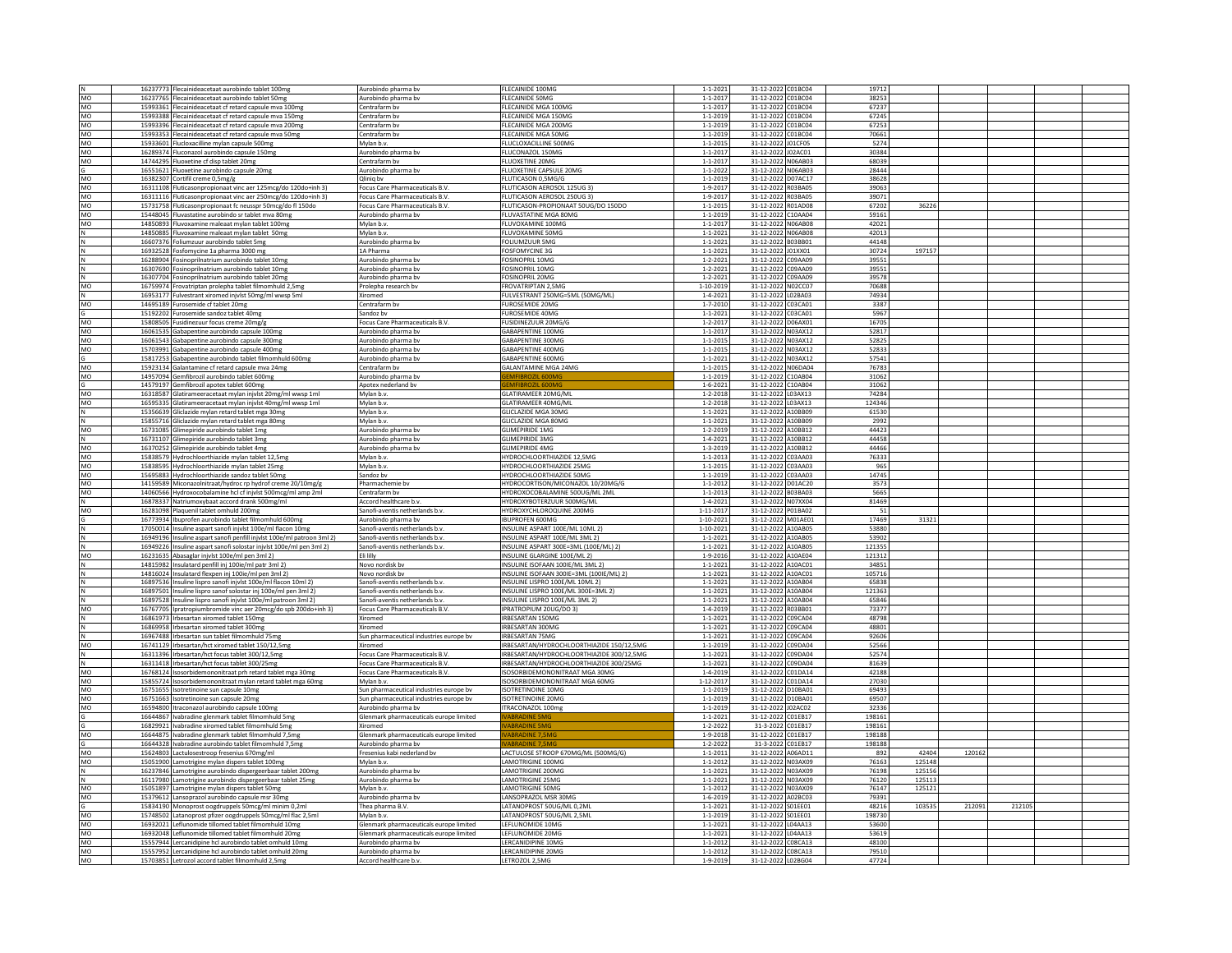|           | 16237773 Flecainideacetaat aurobindo tablet 100mg                                      | Aurobindo pharma by                     | FLECAINIDE 100MG                          | $1 - 1 - 2021$  | 31-12-2022 C01BC04  | 19712          |        |        |       |  |
|-----------|----------------------------------------------------------------------------------------|-----------------------------------------|-------------------------------------------|-----------------|---------------------|----------------|--------|--------|-------|--|
| N<br>MO   |                                                                                        |                                         |                                           |                 |                     |                |        |        |       |  |
|           | 16237765 Flecainideacetaat aurobindo tablet 50mg                                       | Aurobindo pharma bv                     | FLECAINIDE 50MG                           | $1 - 1 - 2017$  | 31-12-2022 C01BC04  | 38253          |        |        |       |  |
| MO        | 15993361 Flecainideacetaat cf retard capsule mva 100mg                                 | Centrafarm bv                           | FLECAINIDE MGA 100MG                      | $1 - 1 - 2017$  | 31-12-2022 C01BC04  | 67237          |        |        |       |  |
| MO        | 15993388 Flecainideacetaat cf retard capsule mva 150mg                                 | Centrafarm bv                           | FLECAINIDE MGA 150MG                      | $1 - 1 - 2019$  | 31-12-2022 C01BC04  | 67245          |        |        |       |  |
| MO        | 15993396 Flecainideacetaat cf retard capsule mva 200mg                                 | Centrafarm by                           | <b>FLECAINIDE MGA 200MG</b>               | $1 - 1 - 2019$  | 31-12-2022 C01BC04  | 67253          |        |        |       |  |
|           |                                                                                        |                                         |                                           |                 |                     |                |        |        |       |  |
| MO        | 15993353 Flecainideacetaat cf retard capsule mva 50mg                                  | Centrafarm by                           | FLECAINIDE MGA 50MG                       | $1 - 1 - 2019$  | 31-12-2022 C01BC04  | 70661          |        |        |       |  |
| MO        | 15933601 Flucloxacilline mylan capsule 500mg                                           | Mylan b.v.                              | LUCLOXACILLINE 500M                       | $1 - 1 - 2015$  | 31-12-2022 J01CF05  | 5274           |        |        |       |  |
| MO        | 16289374 Fluconazol aurobindo capsule 150mg                                            | Aurobindo pharma by                     | FLUCONAZOL 150MG                          | $1 - 1 - 2017$  | 31-12-2022 J02AC01  | 30384          |        |        |       |  |
| MO        | 14744295 Fluoxetine cf disp tablet 20mg                                                | Centrafarm bv                           | <b>FLUOXETINE 20MG</b>                    | $1 - 1 - 2017$  | 31-12-2022 N06AB03  | 68039          |        |        |       |  |
|           | 16551621 Fluoxetine aurobindo capsule 20me                                             | Aurobindo pharma by                     | FLUOXETINE CAPSULE 20MG                   | $1 - 1 - 2022$  | 31-12-2022 N06AB03  | 28444          |        |        |       |  |
| MO        | 16382307 Cortifil creme 0,5mg/g                                                        | Qlinig by                               | FLUTICASON 0.5MG/G                        | $1 - 1 - 2019$  | 31-12-2022 D07AC17  | 38628          |        |        |       |  |
|           |                                                                                        |                                         |                                           |                 |                     |                |        |        |       |  |
| MO        | 16311108 Fluticasonpropionaat vinc aer 125mcg/do 120do+inh 3)                          | Focus Care Pharmaceuticals B.V.         | FLUTICASON AEROSOL 125UG 3)               | 1-9-2017        | 31-12-2022 R03BA05  | 39063          |        |        |       |  |
| <b>MO</b> | 16311116 Fluticasonpropionaat vinc aer 250mcg/do 120do+inh 3)                          | Focus Care Pharmaceuticals B.V.         | <b>FLUTICASON AFROSOL 250UG 3)</b>        | 1-9-2017        | 31-12-2022 R03BA05  | 39071          |        |        |       |  |
| MO        | 15731758 Fluticasonpropionaat fc neusspr 50mcg/do fl 150do                             | Focus Care Pharmaceuticals B.V.         | FLUTICASON-PROPIONAAT 50UG/DO 150DO       | $1 - 1 - 2015$  | 31-12-2022 R01AD08  | 67202          | 36226  |        |       |  |
| MO        | 15448045 Fluvastatine aurobindo sr tablet mva 80mg                                     | Aurobindo pharma bv                     | FLUVASTATINE MGA 80MG                     | $1 - 1 - 2019$  | 31-12-2022 C10AA04  | 59161          |        |        |       |  |
| MO        | 14850893 Fluvoxamine maleaat mylan tablet 100mg                                        | Mylan b.v                               | FLUVOXAMINE 100MG                         | $1 - 1 - 2017$  | 31-12-2022 N06AB08  | 42021          |        |        |       |  |
|           | 14850885 Fluvoxamine maleaat mylan tablet 50mg                                         | Mylan b.v.                              | FLUVOXAMINE 50MG                          | $1 - 1 - 2021$  | 31-12-2022 N06AB08  | 42013          |        |        |       |  |
|           |                                                                                        |                                         |                                           |                 |                     |                |        |        |       |  |
| N         | 16607376 Foliumzuur aurobindo tablet 5mg                                               | Aurobindo pharma bv                     | <b>FOLIUMZUUR 5MG</b>                     | $1 - 1 - 2021$  | 31-12-2022 B03BB01  | 44148          |        |        |       |  |
|           | 16932528 Fosfomycine 1a pharma 3000 mg                                                 | 1A Pharma                               | <b>FOSFOMYCINE 3G</b>                     | $1 - 1 - 2021$  | 31-12-2022 J01XX01  | 30724          | 197157 |        |       |  |
| N         | 16288904 Fosinoprilnatrium aurobindo tablet 10mg                                       | Aurobindo pharma by                     | FOSINOPRIL 10MG                           | $1 - 2 - 2021$  | 31-12-2022 C09AA09  | 39551          |        |        |       |  |
|           | 16307690 Fosinoprilnatrium aurobindo tablet 10mg                                       | Aurobindo pharma bv                     | FOSINOPRIL 10MG                           | $1 - 2 - 2021$  | 31-12-2022 C09AA09  | 39551          |        |        |       |  |
| N         | 16307704 Fosinoprilnatrium aurobindo tablet 20mg                                       | Aurobindo pharma by                     | <b>FOSINOPRIL 20MG</b>                    | $1 - 2 - 2021$  | 31-12-2022 C09AA09  | 39578          |        |        |       |  |
| MO        |                                                                                        |                                         | FROVATRIPTAN 2,5MG                        |                 |                     | 70688          |        |        |       |  |
|           | 16759974 Frovatriptan prolepha tablet filmomhuld 2,5mg                                 | Prolepha research bv                    |                                           | 1-10-2019       | 31-12-2022 N02CC07  |                |        |        |       |  |
|           | 16953177 Fulvestrant xiromed inivist 50mg/ml wwsp 5ml                                  | Xiromed                                 | FULVESTRANT 250MG=5ML (50MG/ML)           | $1 - 4 - 2021$  | 31-12-2022 L02BA03  | 74934          |        |        |       |  |
| MO        | 14695189 Furosemide cf tablet 20mg                                                     | Centrafarm by                           | <b>FUROSEMIDE 20MG</b>                    | $1 - 7 - 2010$  | 31-12-2022 C03CA01  | 3387           |        |        |       |  |
|           | 15192202 Furosemide sandoz tablet 40mg                                                 | Sandoz bv                               | FUROSEMIDE 40MG                           | $1 - 1 - 2021$  | 31-12-2022 C03CA01  | 5967           |        |        |       |  |
| <b>MO</b> | 15808505 Fusidinezuur focus creme 20mg/g                                               | Focus Care Pharmaceuticals B.V.         | <b>FUSIDINEZUUR 20MG/G</b>                | $1 - 2 - 2017$  | 31-12-2022 D06AX01  | 16705          |        |        |       |  |
| MO        | 16061535 Gabapentine aurobindo capsule 100mg                                           | Aurobindo pharma bv                     | GABAPENTINE 100MG                         | $1 - 1 - 201$   | 31-12-2022 N03AX12  | 52817          |        |        |       |  |
|           |                                                                                        |                                         | GABAPENTINE 300MG                         |                 | 31-12-2022 N03AX12  |                |        |        |       |  |
| MO        | 16061543 Gabapentine aurobindo capsule 300mg                                           | Aurobindo pharma bv                     |                                           | $1 - 1 - 2015$  |                     | 52825          |        |        |       |  |
| MO        | 15703991 Gabapentine aurobindo capsule 400mg                                           | Aurobindo pharma bv                     | GABAPENTINE 400MG                         | $1 - 1 - 2015$  | 31-12-2022 N03AX12  | 52833          |        |        |       |  |
|           | 15817253 Gabapentine aurobindo tablet filmomhuld 600mg                                 | Aurobindo pharma bv                     | GABAPENTINE 600MG                         | $1 - 1 - 2021$  | 31-12-2022 N03AX12  | 57541          |        |        |       |  |
| MO        | 15923134 Galantamine cf retard capsule mva 24mg                                        | Centrafarm bv                           | <b>GALANTAMINE MGA 24MG</b>               | $1 - 1 - 2015$  | 31-12-2022 N06DA04  | 76783          |        |        |       |  |
| MO        | 14957094 Gemfibrozil aurobindo tablet 600mg                                            | Aurobindo pharma bv                     | MFIBROZIL 600                             | $1 - 1 - 2019$  | 31-12-2022 C10AB04  | 31062          |        |        |       |  |
| G         | 14579197 Gemfibrozil apotex tablet 600mg                                               | Apotex nederland bv                     | <b>EMFIBROZIL 600M</b>                    | $1 - 6 - 2021$  | 31-12-2022 C10AB04  | 31062          |        |        |       |  |
|           |                                                                                        |                                         |                                           |                 |                     |                |        |        |       |  |
| MO        | 16318587 Glatirameeracetaat mylan injvlst 20mg/ml wwsp 1ml                             | Mylan b.v.                              | GLATIRAMEER 20MG/ML                       | $1 - 2 - 2018$  | 31-12-2022 L03AX13  | 74284          |        |        |       |  |
| MO        | 16595335 Glatirameeracetaat mylan injvlst 40mg/ml wwsp 1ml                             | Mylan b.y                               | <b>GLATIRAMEER 40MG/ML</b>                | $1 - 2 - 2018$  | 31-12-2022 L03AX13  | 124346         |        |        |       |  |
|           | 15356639 Gliclazide mylan retard tablet mga 30mg                                       | Mylan b.v                               | GLICLAZIDE MGA 30MG                       | $1 - 1 - 2021$  | 31-12-2022 A10BB09  | 61530          |        |        |       |  |
|           | 15855716 Gliclazide mylan retard tablet mga 80mg                                       | Mylan b.v                               | GLICLAZIDE MGA 80MG                       | $1 - 1 - 2021$  | 31-12-2022 A10BB09  | 2992           |        |        |       |  |
| MO        | 16731085 Glimepiride aurobindo tablet 1mg                                              | Aurobindo pharma bv                     | <b>GLIMEPIRIDE 1MG</b>                    | $1 - 2 - 2019$  | 31-12-2022 A10BB12  | 44423          |        |        |       |  |
| N         | 16731107 Glimepiride aurobindo tablet 3mg                                              | Aurobindo pharma bv                     | <b>GLIMEPIRIDE 3MG</b>                    | $1 - 4 - 2021$  | 31-12-2022 A10BB12  | 44458          |        |        |       |  |
| <b>MO</b> |                                                                                        |                                         | GLIMEPIRIDE 4MG                           | $1 - 3 - 2019$  | 31-12-2022 A10BB12  | 44466          |        |        |       |  |
|           | 16370252 Glimepiride aurobindo tablet 4mg                                              | Aurobindo pharma bv                     |                                           |                 |                     |                |        |        |       |  |
| MO        | 15838579 Hydrochloorthiazide mylan tablet 12,5mg                                       | Mylan b.v                               | HYDROCHLOORTHIAZIDE 12,5MG                | $1 - 1 - 2013$  | 31-12-2022 C03AA03  | 76333          |        |        |       |  |
| MO        | 15838595 Hydrochloorthiazide mylan tablet 25mg                                         | Mylan b.v.                              | HYDROCHLOORTHIAZIDE 25MG                  | $1 - 1 - 2015$  | 31-12-2022 C03AA03  | 965            |        |        |       |  |
| MO        | 15695883 Hydrochloorthiazide sandoz tablet 50mg                                        | Sandoz bv                               | HYDROCHLOORTHIAZIDE 50MG                  | $1 - 1 - 2019$  | 31-12-2022 C03AA03  | 14745          |        |        |       |  |
| MO        | 14159589 Miconazolnitraat/hydroc rp hydrof creme 20/10mg/                              | Pharmachemie bv                         | HYDROCORTISON/MICONAZOL 10/20MG/G         | $1 - 1 - 2012$  | 31-12-2022 D01AC20  | 3573           |        |        |       |  |
| MO        | 14060566 Hydroxocobalamine hcl cf injvlst 500mcg/ml amp 2ml                            | Centrafarm bv                           | HYDROXOCOBALAMINE 500UG/ML 2ML            | $1 - 1 - 2013$  | 31-12-2022 B03BA03  | 5665           |        |        |       |  |
|           | 16878337 Natriumoxybaat accord drank 500mg/ml                                          | Accord healthcare b.v.                  | HYDROXYBOTERZUUR 500MG/ML                 | $1 - 4 - 2021$  | 31-12-2022 N07XX04  | 81469          |        |        |       |  |
|           |                                                                                        |                                         |                                           |                 |                     |                |        |        |       |  |
| MO        | 16281098 Plaquenil tablet omhuld 200mg                                                 | Sanofi-aventis netherlands b.v.         | HYDROXYCHLOROQUINE 200MG                  | 1-11-2017       | 31-12-2022 P01BA02  | 51             |        |        |       |  |
|           | 16773934 Ibuprofen aurobindo tablet filmomhuld 600mg                                   | Aurobindo pharma bv                     | <b>IBUPROFEN 600MG</b>                    | 1-10-2021       | 31-12-2022 M01AE01  | 17469          | 31321  |        |       |  |
| N         | 17050014 Insuline aspart sanofi injvlst 100e/ml flacon 10mg                            | Sanofi-aventis netherlands b.v          | INSULINE ASPART 100E/ML 10ML 2)           | 1-10-2021       | 31-12-2022 A10AB05  | 53880          |        |        |       |  |
|           | 16949196 Insuline aspart sanofi penfill injvlst 100e/ml patroon 3ml 2)                 | Sanofi-aventis netherlands b.v          | INSULINE ASPART 100E/ML 3ML 2)            | $1 - 1 - 2021$  | 31-12-2022 A10AB05  | 53902          |        |        |       |  |
|           | 16949226 Insuline aspart sanofi solostar injvlst 100e/ml pen 3ml 2)                    | Sanofi-aventis netherlands b.v          | INSULINE ASPART 300E=3ML (100E/ML) 2)     | $1 - 1 - 2021$  | 31-12-2022 A10AB05  | 121355         |        |        |       |  |
| MO        | 16231635 Abasaglar injvlst 100e/ml pen 3ml 2)                                          | Eli lilly                               | INSULINE GLARGINE 100E/ML 2)              | $1 - 9 - 2016$  | 31-12-2022 A10AE04  | 121312         |        |        |       |  |
|           | 14815982 Insulatard penfill inj 100ie/ml patr 3ml 2)                                   | Novo nordisk bv                         | INSULINE ISOFAAN 100IE/ML 3ML 2)          | $1 - 1 - 2021$  | 31-12-2022 A10AC01  | 34851          |        |        |       |  |
|           |                                                                                        |                                         |                                           |                 |                     |                |        |        |       |  |
| N         | 14816024 Insulatard flexpen inj 100ie/ml pen 3ml 2)                                    | Novo nordisk by                         | INSULINE ISOFAAN 300IE=3ML (100IE/ML) 2)  | $1 - 1 - 2021$  | 31-12-2022 A10AC01  | 105716         |        |        |       |  |
|           | 16897536 Insuline lispro sanofi injvlst 100e/ml flacon 10ml 2                          | Sanofi-aventis netherlands b.v          | INSULINE LISPRO 100E/ML 10ML 2)           | $1 - 1 - 2021$  | 31-12-2022 A10AB04  | 65838          |        |        |       |  |
| N         | 16897501 Insuline lispro sanof solostar inj 100e/ml pen 3ml 2)                         | Sanofi-aventis netherlands b.y          | INSULINE LISPRO 100E/ML 300E=3ML 2)       | $1 - 1 - 2021$  | 31-12-2022 A10AB04  | 121363         |        |        |       |  |
| N         | 16897528 Insuline lispro sanofi injvlst 100e/ml patroon 3ml 2)                         | Sanofi-aventis netherlands b.v.         | INSULINE LISPRO 100E/ML 3ML 2)            | $1 - 1 - 2021$  | 31-12-2022 A10AB04  | 65846          |        |        |       |  |
| MO        | 16767705 Ipratropiumbromide vinc aer 20mcg/do spb 200do+inh 3)                         | <b>Focus Care Pharmaceuticals B.V</b>   | IPRATROPIUM 20UG/DO 3)                    | $1 - 4 - 2019$  | 31-12-2022 R03BB01  | 73377          |        |        |       |  |
| N         |                                                                                        | Xiromed                                 | IRBESARTAN 150MG                          | $1 - 1 - 2021$  |                     |                |        |        |       |  |
|           | 16861973 Irbesartan xiromed tablet 150mg<br>16869958   Irbesartan xiromed tablet 300mg |                                         |                                           |                 |                     |                |        |        |       |  |
|           |                                                                                        |                                         |                                           |                 | 31-12-2022 C09CA04  | 48798          |        |        |       |  |
|           |                                                                                        | Xiromed                                 | IRBESARTAN 300MG                          | $1 - 1 - 2021$  | 31-12-2022 C09CA04  | 48801          |        |        |       |  |
|           | 16967488 Irbesartan sun tablet filmomhuld 75mg                                         | Sun pharmaceutical industries europe bv | <b>IRRESARTAN 75MG</b>                    | $1 - 1 - 2021$  | 31-12-2022 C09CA04  | 92606          |        |        |       |  |
| MO        | 16741129 Irbesartan/hct xiromed tablet 150/12,5mg                                      | Xiromed                                 | IRBESARTAN/HYDROCHLOORTHIAZIDE 150/12,5MG | $1 - 1 - 2019$  | 31-12-2022 C09DA04  | 52566          |        |        |       |  |
| N         | 16311396 Irbesartan/hct focus tablet 300/12.5mg                                        | Focus Care Pharmaceuticals B.V.         | IRBESARTAN/HYDROCHLOORTHIAZIDE 300/12.5MG | $1 - 1 - 2021$  | 31-12-2022 C09DA04  | 52574          |        |        |       |  |
|           | 16311418 Irbesartan/hct focus tablet 300/25mg                                          | Focus Care Pharmaceuticals B.V          |                                           |                 |                     |                |        |        |       |  |
| N         |                                                                                        |                                         | IRBESARTAN/HYDROCHLOORTHIAZIDE 300/25MG   | $1 - 1 - 2021$  | 31-12-2022 C09DA04  | 81639          |        |        |       |  |
| MO        | 16768124 Isosorbidemononitraat prh retard tablet mga 30mg                              | Focus Care Pharmaceuticals B.V          | ISOSORBIDEMONONITRAAT MGA 30MG            | $1 - 4 - 2019$  | 31-12-2022 C01DA14  | 42188          |        |        |       |  |
| MO        | 15855724 Isosorbidemononitraat mylan retard tablet mga 60mg                            | Mylan b.v.                              | ISOSORBIDEMONONITRAAT MGA 60MG            | $1 - 12 - 2017$ | 31-12-2022 C01DA14  | 27030          |        |        |       |  |
| MO        | 16751655 Isotretinoine sun capsule 10mg                                                | Sun pharmaceutical industries europe bv | <b>ISOTRETINOINE 10MG</b>                 | $1 - 1 - 2019$  | 31-12-2022 D10BA01  | 69493          |        |        |       |  |
| MO        | 16751663 Isotretinoine sun capsule 20mg                                                | Sun pharmaceutical industries europe bv | ISOTRETINOINE 20MG                        | $1 - 1 - 2019$  | 31-12-2022 D10BA01  | 69507          |        |        |       |  |
| MO        | 16594800 Itraconazol aurobindo capsule 100mg                                           | Aurobindo pharma bv                     | <b>ITRACONAZOL 100mg</b>                  | $1 - 1 - 2019$  | 31-12-2022 J02AC02  | 32336          |        |        |       |  |
|           |                                                                                        | Glenmark pharmaceuticals europe limited | <b>ARRADINE 5</b>                         | $1 - 1 - 2021$  | 31-12-2022 C01EB17  | 198161         |        |        |       |  |
|           | 16644867 Ivabradine glenmark tablet filmomhuld 5mg                                     | Xiromed                                 | <b>ABRADINE 5MG</b>                       |                 |                     | 198161         |        |        |       |  |
|           | 16829921 Ivabradine xiromed tablet filmomhuld 5mg                                      |                                         | <b>ABRADINE 7.5M</b>                      | $1 - 2 - 2022$  | 31-3-2022 C01EB17   | 198188         |        |        |       |  |
| MO        | 16644875 Ivabradine glenmark tablet filmomhuld 7,5mg                                   | Glenmark pharmaceuticals europe limited |                                           | 1-9-2018        | 31-12-2022 CO1EB17  |                |        |        |       |  |
|           | 16644328 Ivabradine aurobindo tablet filmomhuld 7,5mg                                  | Aurobindo pharma bv                     | <b>ABRADINE 7.5M</b>                      | $1 - 2 - 2022$  | 31-3-2022 C01EB17   | 198188         |        |        |       |  |
| MO        | 15624803 Lactulosestroop fresenius 670mg/ml                                            | Fresenius kabi nederland bv             | LACTULOSE STROOP 670MG/ML (500MG/G)       | $1 - 1 - 2011$  | 31-12-2022 A06AD11  | 892            | 42404  | 120162 |       |  |
| <b>MO</b> | 15051900 Lamotrigine mylan dispers tablet 100mg                                        | Mylan b.v.                              | <b>AMOTRIGINE 100MG</b>                   | $1 - 1 - 2012$  | 31-12-2022 N03AX09  | 76163          | 125148 |        |       |  |
| N         | 16237846 Lamotrigine aurobindo dispergeerbaar tablet 200mg                             | Aurobindo pharma bv                     | LAMOTRIGINE 200MG                         | $1 - 1 - 2021$  | 31-12-2022 N03AX09  | 76198          | 125156 |        |       |  |
| N         | 16117980 Lamotrigine aurobindo dispergeerbaar tablet 25mg                              | Aurobindo pharma by                     | <b>LAMOTRIGINE 25MG</b>                   | $1 - 1 - 2021$  | 31-12-2022 N03AX09  | 76120          | 125113 |        |       |  |
|           |                                                                                        | Mylan b.v                               | <b>LAMOTRIGINE 50MG</b>                   | $1 - 1 - 2012$  | 31-12-2022 N03AX09  | 76147          |        |        |       |  |
| MO        | 15051897 Lamotrigine mylan dispers tablet 50mg                                         |                                         |                                           |                 |                     |                | 125121 |        |       |  |
| MO        | 15379612 Lansoprazol aurobindo capsule msr 30mg                                        | Aurobindo pharma bv                     | LANSOPRAZOL MSR 30MG                      | $1 - 6 - 2019$  | 31-12-2022 A02BC03  | 79391          |        |        |       |  |
| G         | 15834190 Monoprost oogdruppels 50mcg/ml minim 0,2ml                                    | Thea pharma B.V.                        | LATANOPROST 50UG/ML 0.2ML                 | $1 - 1 - 2021$  | 31-12-2022 S01EE01  | 48216          | 103535 | 212091 | 21210 |  |
| MO        | 15748502 Latanoprost pfizer oogdruppels 50mcg/ml flac 2,5ml                            | Mylan b.v                               | LATANOPROST 50UG/ML 2,5ML                 | $1 - 1 - 2019$  | 31-12-2022 S01EE01  | 198730         |        |        |       |  |
| MO        | 16932021 Leflunomide tillomed tablet filmomhuld 10mg                                   | Glenmark pharmaceuticals europe limited | <b>IFFILINOMIDE 10MG</b>                  | $1 - 1 - 2021$  | 31-12-2022   04AA13 | 53600          |        |        |       |  |
| MO        | 16932048 Leflunomide tillomed tablet filmomhuld 20mg                                   | Glenmark pharmaceuticals europe limited | LEFLUNOMIDE 20MG                          | $1 - 1 - 2021$  | 31-12-2022 L04AA13  | 53619          |        |        |       |  |
| MO        | 15557944 Lercanidipine hcl aurobindo tablet omhuld 10mg                                | Aurobindo pharma by                     | LERCANIDIPINE 10MG                        | $1 - 1 - 2012$  | 31-12-2022 C08CA13  | 48100          |        |        |       |  |
| MO<br>MO  | 15557952 Lercanidipine hcl aurobindo tablet omhuld 20mg                                | Aurobindo pharma bv                     | LERCANIDIPINE 20MG<br>LETROZOL 2,5MG      | $1 - 1 - 2012$  | 31-12-2022 C08CA13  | 79510<br>47724 |        |        |       |  |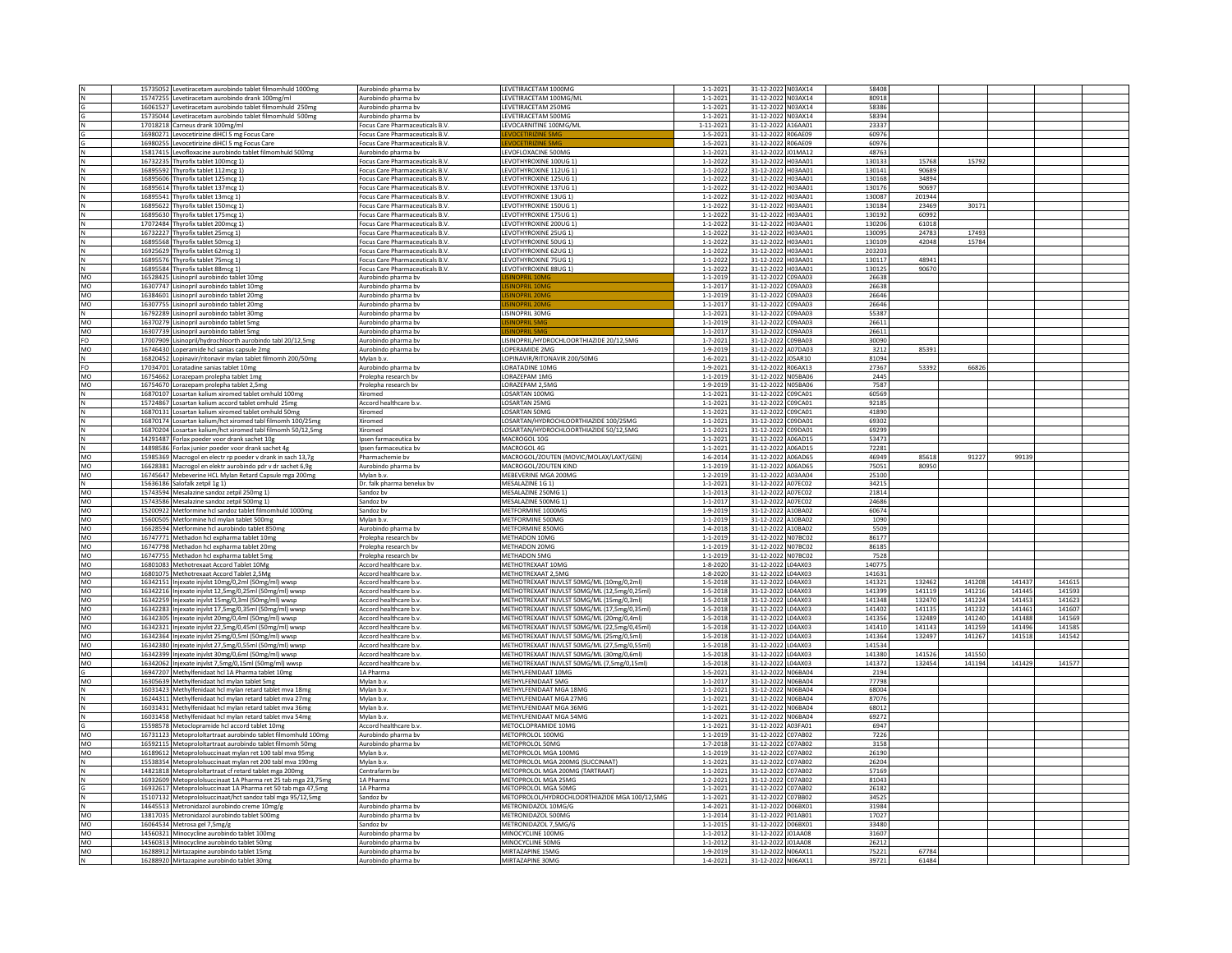|            | 15735052 Levetiracetam aurobindo tablet filmomhuld 1000mg     | Aurobindo pharma bv             | LEVETIRACETAM 1000MG                          | $1 - 1 - 2021$ | 31-12-2022 N03AX14 | 58408  |        |        |        |        |  |
|------------|---------------------------------------------------------------|---------------------------------|-----------------------------------------------|----------------|--------------------|--------|--------|--------|--------|--------|--|
|            | 15747255 Levetiracetam aurobindo drank 100mg/ml               | Aurobindo pharma by             | LEVETIRACETAM 100MG/ML                        | $1 - 1 - 2021$ | 31-12-2022 N03AX14 | 80918  |        |        |        |        |  |
|            | 16061527 Levetiracetam aurobindo tablet filmomhuld 250mg      | Aurobindo pharma bv             | LEVETIRACETAM 250MG                           | $1 - 1 - 2021$ | 31-12-2022 N03AX14 | 58386  |        |        |        |        |  |
|            |                                                               |                                 |                                               |                |                    | 58394  |        |        |        |        |  |
|            | 15735044 Levetiracetam aurobindo tablet filmomhuld 500m       | Aurobindo pharma bv             | LEVETIRACETAM 500MG                           | $1 - 1 - 2021$ | 31-12-2022 N03AX14 |        |        |        |        |        |  |
|            | 17018218 Carneus drank 100mg/ml                               | Focus Care Pharmaceuticals B.V. | LEVOCARNITINE 100MG/ML                        | 1-11-2021      | 31-12-2022 A16AA01 | 23337  |        |        |        |        |  |
|            | 16980271 Levocetirizine diHCl 5 mg Focus Care                 | Focus Care Pharmaceuticals B.V  |                                               | $1 - 5 - 202$  | 31-12-2022 R06AE09 | 60976  |        |        |        |        |  |
|            | 16980255 Levocetirizine diHCl 5 mg Focus Care                 | Focus Care Pharmaceuticals B.V  |                                               | $1 - 5 - 202$  | 31-12-2022 R06AE09 | 60976  |        |        |        |        |  |
|            | 15817415<br>Levofloxacine aurobindo tablet filmomhuld 500mg   | Aurobindo pharma bv             | LEVOFLOXACINE 500MG                           | $1 - 1 - 2021$ | 31-12-2022 J01MA12 | 4876   |        |        |        |        |  |
|            |                                                               |                                 |                                               |                |                    |        |        |        |        |        |  |
|            | 16732235 Thyrofix tablet 100mcg 1)                            | Focus Care Pharmaceuticals B.V. | LEVOTHYROXINE 100UG 1)                        | $1 - 1 - 2022$ | 31-12-2022 H03AA01 | 130133 | 15768  | 15792  |        |        |  |
|            | 16895592 Thyrofix tablet 112mcg 1)                            | Focus Care Pharmaceuticals B.V  | LEVOTHYROXINE 112UG 1)                        | $1 - 1 - 2022$ | 31-12-2022 H03AA01 | 130141 | 90689  |        |        |        |  |
|            | 16895606 Thyrofix tablet 125mcg 1)                            | Focus Care Pharmaceuticals B.V. | LEVOTHYROXINE 125UG 11                        | $1 - 1 - 2022$ | 31-12-2022 H03AA01 | 130168 | 34894  |        |        |        |  |
|            | 16895614 Thyrofix tablet 137mcg 1)                            | Focus Care Pharmaceuticals B.V  | LEVOTHYROXINE 137UG 1)                        | $1 - 1 - 2022$ | 31-12-2022 H03AA01 | 130176 | 90697  |        |        |        |  |
|            |                                                               |                                 |                                               |                |                    |        |        |        |        |        |  |
|            | 16895541 Thyrofix tablet 13mcg 1)                             | Focus Care Pharmaceuticals B.V. | LEVOTHYROXINE 13UG 1)                         | $1 - 1 - 2022$ | 31-12-2022 H03AA01 | 130087 | 201944 |        |        |        |  |
|            | 16895622 Thyrofix tablet 150mcg 1)                            | Focus Care Pharmaceuticals B.V  | LEVOTHYROXINE 150UG 1)                        | $1 - 1 - 2022$ | 31-12-2022 H03AA01 | 130184 | 23469  | 30171  |        |        |  |
|            | 16895630 Thyrofix tablet 175mcg 1                             | Focus Care Pharmaceuticals B.V  | LEVOTHYROXINE 175UG 1)                        | $1 - 1 - 202$  | 31-12-2022 H03AA01 | 13019  | 60992  |        |        |        |  |
|            | 17072484 Thyrofix tablet 200mcg 1)                            |                                 | LEVOTHYROXINE 200UG 1)                        | $1 - 1 - 2022$ | 31-12-2022 H03AA01 | 130206 | 61018  |        |        |        |  |
|            |                                                               | Focus Care Pharmaceuticals B.V  |                                               |                |                    |        |        |        |        |        |  |
|            | 16732227 Thyrofix tablet 25mcg 1)                             | Focus Care Pharmaceuticals B.V. | LEVOTHYROXINE 25UG 1)                         | $1 - 1 - 2022$ | 31-12-2022 H03AA01 | 130095 | 24783  | 17493  |        |        |  |
|            | 16895568 Thyrofix tablet 50mcg 1)                             | Focus Care Pharmaceuticals B.V. | LEVOTHYROXINE 50UG 1)                         | $1 - 1 - 2022$ | 31-12-2022 H03AA01 | 130109 | 42048  | 15784  |        |        |  |
|            | 16925629 Thyrofix tablet 62mcg 1)                             | Focus Care Pharmaceuticals B.V  | LEVOTHYROXINE 62UG 1)                         | $1 - 1 - 2022$ | 31-12-2022 H03AA01 | 203203 |        |        |        |        |  |
|            | 16895576 Thyrofix tablet 75mcg 1)                             | Focus Care Pharmaceuticals B.V  | LEVOTHYROXINE 75UG 1)                         | $1 - 1 - 202$  | 31-12-2022 H03AA01 | 130117 | 48941  |        |        |        |  |
|            |                                                               |                                 |                                               |                |                    |        |        |        |        |        |  |
|            | 16895584 Thyrofix tablet 88mcg 1)                             | Focus Care Pharmaceuticals B.V  | LEVOTHYROXINE 88UG 1)                         | $1 - 1 - 2022$ | 31-12-2022 H03AA01 | 130125 | 90670  |        |        |        |  |
| MO         | 16528425 Lisinopril aurobindo tablet 10mg                     | Aurobindo pharma bv             |                                               | $1 - 1 - 2019$ | 31-12-2022 C09AA03 | 26638  |        |        |        |        |  |
| MO         | 16307747 Lisinopril aurobindo tablet 10mg                     | Aurobindo pharma bv             | <b>SINOPRIL 10M</b>                           | $1 - 1 - 201$  | 31-12-2022 C09AA03 | 26638  |        |        |        |        |  |
| MO         | 16384601 Lisinopril aurobindo tablet 20mg                     |                                 | <b>SINOPRIL 20MC</b>                          | $1 - 1 - 2019$ | 31-12-2022 C09AA03 | 26646  |        |        |        |        |  |
|            |                                                               | Aurobindo pharma bv             |                                               |                |                    |        |        |        |        |        |  |
| MO         | 16307755<br>Lisinopril aurobindo tablet 20mg                  | Aurobindo pharma bv             |                                               | $1 - 1 - 201$  | 31-12-2022 C09AA03 | 26646  |        |        |        |        |  |
| IN.        | 16792289 Lisinopril aurobindo tablet 30mg                     | Aurobindo pharma bv             | LISINOPRIL 30MG                               | $1 - 1 - 202$  | 31-12-2022 C09AA03 | 55387  |        |        |        |        |  |
| MO         | 16370279 Lisinopril aurobindo tablet 5mg                      | Aurobindo pharma bv             | <b>SINOPRIL 5M</b>                            | $1 - 1 - 2019$ | 31-12-2022 C09AA03 | 26611  |        |        |        |        |  |
| MO         | 16307739 Lisinopril aurobindo tablet 5mg                      |                                 |                                               | $1 - 1 - 2017$ | 31-12-2022 C09AA03 | 26611  |        |        |        |        |  |
|            |                                                               | Aurobindo pharma bv             |                                               |                |                    |        |        |        |        |        |  |
| FO         | 17007909<br>isinopril/hydrochloorth aurobindo tabl 20/12,5mg  | Aurobindo pharma by             | LISINOPRIL/HYDROCHLOORTHIAZIDE 20/12,5MG      | $1 - 7 - 2021$ | 31-12-2022 C09BA03 | 30090  |        |        |        |        |  |
| MO         | 16746430 Loperamide hcl sanias capsule 2mg                    | Aurobindo pharma bv             | LOPERAMIDE 2MG                                | 1-9-2019       | 31-12-2022 A07DA03 | 3212   | 85391  |        |        |        |  |
|            | 16820452 Lopinavir/ritonavir mylan tablet filmomh 200/50mg    | Mylan b.v.                      | LOPINAVIR/RITONAVIR 200/50MG                  | $1 - 6 - 2021$ | 31-12-2022 J05AR10 | 81094  |        |        |        |        |  |
| N          |                                                               |                                 |                                               |                |                    |        |        |        |        |        |  |
| FO         | 17034701 Loratadine sanias tablet 10mg                        | Aurobindo pharma by             | <b>LORATADINE 10MG</b>                        | 1-9-2021       | 31-12-2022 R06AX13 | 27367  | 53392  | 66826  |        |        |  |
| MO         | 16754662 Lorazepam prolepha tablet 1mg                        | Prolepha research by            | LORAZEPAM 1MG                                 | $1 - 1 - 2019$ | 31-12-2022 N05BA06 | 2445   |        |        |        |        |  |
| MO         | 16754670 Lorazepam prolepha tablet 2,5mg                      | Prolepha research bv            | LORAZEPAM 2,5MG                               | 1-9-2019       | 31-12-2022 N05BA06 | 7587   |        |        |        |        |  |
|            | 16870107 Losartan kalium xiromed tablet omhuld 100mg          | Xiromed                         | LOSARTAN 100MG                                | $1 - 1 - 202$  | 31-12-2022 C09CA01 | 60569  |        |        |        |        |  |
|            |                                                               |                                 |                                               |                |                    |        |        |        |        |        |  |
| N          | 15724867 Losartan kalium accord tablet omhuld 25mg            | Accord healthcare b.v           | <b>LOSARTAN 25MG</b>                          | $1 - 1 - 202$  | 31-12-2022 C09CA01 | 92185  |        |        |        |        |  |
|            | 16870131 Losartan kalium xiromed tablet omhuld 50mg           | Xiromed                         | LOSARTAN 50MG                                 | $1 - 1 - 2021$ | 31-12-2022 C09CA01 | 41890  |        |        |        |        |  |
| N          | 16870174 Losartan kalium/hct xiromed tabl filmomh 100/25mg    | Xiromed                         | LOSARTAN/HYDROCHLOORTHIAZIDE 100/25MG         | $1 - 1 - 2021$ | 31-12-2022 C09DA01 | 69302  |        |        |        |        |  |
|            | 16870204                                                      | Xiromed                         | LOSARTAN/HYDROCHLOORTHIAZIDE 50/12,5MG        | $1 - 1 - 202$  | 31-12-2022 C09DA01 | 6929   |        |        |        |        |  |
|            | Losartan kalium/hct xiromed tabl filmomh 50/12,5mg            |                                 |                                               |                |                    |        |        |        |        |        |  |
|            | 14291487 Forlax poeder voor drank sachet 10g                  | Ipsen farmaceutica by           | MACROGOL 10G                                  | $1 - 1 - 2021$ | 31-12-2022 A06AD15 | 53472  |        |        |        |        |  |
|            | 14898586 Forlax junior poeder voor drank sachet 4g            | Ipsen farmaceutica bv           | MACROGOL 4G                                   | $1 - 1 - 2021$ | 31-12-2022 A06AD15 | 72281  |        |        |        |        |  |
| MO         | 15985369 Macrogol en electr rp poeder v drank in sach 13,7g   | Pharmachemie bv                 | MACROGOL/ZOUTEN (MOVIC/MOLAX/LAXT/GEN)        | $1 - 6 - 2014$ | 31-12-2022 A06AD65 | 46949  | 85618  | 91227  | 9913   |        |  |
|            |                                                               |                                 |                                               |                |                    | 7505   | 80950  |        |        |        |  |
| MO         | 16628381 Macrogol en elektr aurobindo pdr v dr sachet 6,9g    | Aurobindo pharma by             | MACROGOL/ZOUTEN KIND                          | $1 - 1 - 2019$ | 31-12-2022 A06AD65 |        |        |        |        |        |  |
| MO         | 16745647 Mebeverine HCL Mylan Retard Capsule mga 200mg        | Mylan b.v.                      | MEBEVERINE MGA 200MG                          | $1 - 2 - 2019$ | 31-12-2022 A03AA04 | 25100  |        |        |        |        |  |
| N          | 15636186 Salofalk zetpil 1g 1)                                | Dr. falk pharma benelux bv      | MESALAZINE 1G 1)                              | $1 - 1 - 2021$ | 31-12-2022 A07EC02 | 34215  |        |        |        |        |  |
| MO         | 15743594 Mesalazine sandoz zetpil 250mg 1)                    | Sandoz by                       | MESALAZINE 250MG 1                            | $1 - 1 - 2013$ | 31-12-2022 A07EC02 | 21814  |        |        |        |        |  |
| MO         |                                                               |                                 | MESALAZINE 500MG 11                           | $1 - 1 - 2017$ | 31-12-2022 A07EC02 | 24686  |        |        |        |        |  |
|            | 15743586 Mesalazine sandoz zetpil 500mg 1)                    | Sandoz by                       |                                               |                |                    |        |        |        |        |        |  |
| MO         | 15200922 Metformine hcl sandoz tablet filmomhuld 1000mg       | Sandoz bv                       | METFORMINE 1000MG                             | 1-9-2019       | 31-12-2022 A10BA02 | 60674  |        |        |        |        |  |
| MO         | 15600505 Metformine hcl mylan tablet 500me                    | Mylan b.v.                      | METFORMINE 500MG                              | $1 - 1 - 2019$ | 31-12-2022 A10BA02 | 1090   |        |        |        |        |  |
| MO         | 16628594 Metformine hcl aurobindo tablet 850m                 | Aurobindo pharma bv             | METFORMINE 850MG                              | $1 - 4 - 2018$ | 31-12-2022 A10BA02 | 5509   |        |        |        |        |  |
|            |                                                               |                                 |                                               |                |                    |        |        |        |        |        |  |
| MO         | 16747771 Methadon hcl expharma tablet 10mg                    | Prolepha research bv            | METHADON 10MG                                 | $1 - 1 - 2019$ | 31-12-2022 N07BC02 | 86177  |        |        |        |        |  |
| <b>MO</b>  | 16747798 Methadon hcl expharma tablet 20mg                    | Prolepha research by            | MFTHADON 20MG                                 | $1 - 1 - 2019$ | 31-12-2022 N07BC02 | 86185  |        |        |        |        |  |
| MO         | 16747755 Methadon hcl expharma tablet 5mg                     | Prolepha research bv            | <b>METHADON 5MG</b>                           | $1 - 1 - 2019$ | 31-12-2022 N07BC02 | 7528   |        |        |        |        |  |
| MO         | 16801083 Methotrexaat Accord Tablet 10Mg                      | Accord healthcare b.v           | METHOTREXAAT 10MG                             | $1 - 8 - 2020$ | 31-12-2022 L04AX03 | 140775 |        |        |        |        |  |
|            |                                                               |                                 |                                               |                |                    |        |        |        |        |        |  |
| MO         | 16801075 Methotrexaat Accord Tablet 2,5Mg                     | Accord healthcare b.v           | METHOTREXAAT 2,5MG                            | $1 - 8 - 2020$ | 31-12-2022 L04AX03 | 141631 |        |        |        |        |  |
| MO         | 16342151 Injexate injvlst 10mg/0,2ml (50mg/ml) wwsp           | Accord healthcare b.v.          | METHOTREXAAT INJVLST 50MG/ML (10mg/0,2ml)     | $1 - 5 - 2018$ | 31-12-2022 L04AX03 | 141321 | 132462 | 141208 | 141437 | 141615 |  |
| MO         | 16342216 Injexate injvlst 12,5mg/0,25ml (50mg/ml) wwsp        | Accord healthcare b.v           | METHOTREXAAT INJVLST 50MG/ML (12,5mg/0,25ml)  | $1 - 5 - 2018$ | 31-12-2022 L04AX03 | 141399 | 141119 | 141216 | 141445 | 14159  |  |
| MO         | 16342259 Injexate injvlst 15mg/0,3ml (50mg/ml) wwsp           | Accord healthcare b.v.          | METHOTREXAAT INJVLST 50MG/ML (15mg/0,3ml)     | $1 - 5 - 2018$ | 31-12-2022 L04AX03 | 141348 | 132470 | 141224 | 141453 | 141623 |  |
|            |                                                               |                                 |                                               |                |                    |        |        |        |        |        |  |
| MO         | 16342283 Injexate injvlst 17,5mg/0,35ml (50mg/ml) wwsp        | Accord healthcare b.v           | METHOTREXAAT INJVLST 50MG/ML (17,5mg/0,35ml)  | $1 - 5 - 2018$ | 31-12-2022 L04AX03 | 141402 | 141135 | 141232 | 141461 | 141607 |  |
| MO         | 16342305 Injexate injvlst 20mg/0,4ml (50mg/ml) wwsp           | Accord healthcare b.v.          | METHOTREXAAT INJVLST 50MG/ML (20mg/0,4ml)     | $1 - 5 - 2018$ | 31-12-2022 L04AX03 | 141356 | 132489 | 141240 | 141488 | 141569 |  |
| MO         | 16342321 Injexate injvlst 22,5mg/0,45ml (50mg/ml) wwsp        | Accord healthcare b.v           | METHOTREXAAT INJVLST 50MG/ML (22.5mg/0.45ml)  | $1 - 5 - 2018$ | 31-12-2022 L04AX03 | 141410 | 141143 | 141259 | 141496 | 141585 |  |
| MO         | 16342364 Injexate injvlst 25mg/0,5ml (50mg/ml) wwsp           | Accord healthcare b.v.          | METHOTREXAAT INJVLST 50MG/ML (25mg/0,5ml)     | $1 - 5 - 2018$ | 31-12-2022 L04AX03 | 141364 | 132497 | 141267 | 141518 | 141542 |  |
| MO         | 16342380 Injexate injvlst 27,5mg/0,55ml (50mg/ml) wwsp        | Accord healthcare b.v           | METHOTREXAAT INJVLST 50MG/ML (27,5mg/0,55ml)  | $1 - 5 - 2018$ | 31-12-2022 L04AX03 | 141534 |        |        |        |        |  |
|            |                                                               |                                 |                                               |                |                    |        | 141526 | 141550 |        |        |  |
| MO         | 16342399 Injexate injvlst 30mg/0,6ml (50mg/ml) wwsp           | Accord healthcare b.v           | METHOTREXAAT INJVLST 50MG/ML (30mg/0,6ml)     | $1 - 5 - 2018$ | 31-12-2022 L04AX03 | 141380 |        |        |        |        |  |
| MO         | 16342062 Injexate injvlst 7,5mg/0,15ml (50mg/ml) wwsp         | Accord healthcare b.v           | METHOTREXAAT INJVLST 50MG/ML (7,5mg/0,15ml)   | $1 - 5 - 2018$ | 31-12-2022 L04AX03 | 141372 | 132454 | 141194 | 141429 | 141577 |  |
| G          | 16947207 Methylfenidaat hcl 1A Pharma tablet 10mg             | 1A Pharma                       | METHYLEENIDAAT 10MG                           | $1 - 5 - 2021$ | 31-12-2022 N06BA04 | 2194   |        |        |        |        |  |
| MO         | 16305639 Methylfenidaat hcl mylan tablet 5mg                  | Mylan b.v                       | METHYLFENIDAAT 5MG                            | $1 - 1 - 201$  | 31-12-2022 N06BA04 | 77798  |        |        |        |        |  |
|            |                                                               |                                 |                                               |                |                    |        |        |        |        |        |  |
|            | 16031423 Methylfenidaat hcl mylan retard tablet mva 18mg      | Mylan b.v.                      | METHYLFENIDAAT MGA 18MG                       | $1 - 1 - 2021$ | 31-12-2022 N06BA04 | 68004  |        |        |        |        |  |
| $\hbox{N}$ | 16244311 Methylfenidaat hcl mylan retard tablet mva 27mg      | Mylan b.v.                      | METHYLFENIDAAT MGA 27MG                       | $1 - 1 - 2021$ | 31-12-2022 N06BA04 | 87076  |        |        |        |        |  |
| N          | 16031431 Methylfenidaat hcl mylan retard tablet mva 36mg      | Mylan b.v.                      | METHYLFENIDAAT MGA 36MG                       | $1 - 1 - 202$  | 31-12-2022 N06BA04 | 6801   |        |        |        |        |  |
| N          | 16031458 Methylfenidaat hcl mylan retard tablet mva 54mg      | Mylan b.v.                      | METHYLFENIDAAT MGA 54MG                       | $1 - 1 - 2021$ | 31-12-2022 N06BA04 | 69272  |        |        |        |        |  |
|            |                                                               |                                 | METOCLOPRAMIDE 10MG                           |                |                    | 6947   |        |        |        |        |  |
|            | 15598578 Metoclopramide hcl accord tablet 10mg                | Accord healthcare b.v.          |                                               | $1 - 1 - 2021$ | 31-12-2022 A03FA01 |        |        |        |        |        |  |
| MO         | 16731123 Metoprololtartraat aurobindo tablet filmomhuld 100mg | Aurobindo pharma bv             | METOPROLOL 100MG                              | $1 - 1 - 2019$ | 31-12-2022 C07AB02 | 7226   |        |        |        |        |  |
| MO         | 16592115 Metoproloitartraat aurobindo tablet filmomh 50mg     | Aurobindo pharma by             | METOPROLOL 50MG                               | $1 - 7 - 2018$ | 31-12-2022 C07AB02 | 3158   |        |        |        |        |  |
| MO         | 16189612 Metoprololsuccinaat mylan ret 100 tabl mva 95mg      | Mylan b.v.                      | METOPROLOL MGA 100MG                          | $1 - 1 - 2019$ | 31-12-2022 C07AB02 | 26190  |        |        |        |        |  |
|            |                                                               |                                 |                                               |                |                    |        |        |        |        |        |  |
|            | 15538354 Metoprololsuccinaat mylan ret 200 tabl mva 190mg     | Mylan b.v.                      | METOPROLOL MGA 200MG (SUCCINAAT)              | $1 - 1 - 2021$ | 31-12-2022 C07AB02 | 26204  |        |        |        |        |  |
|            | 14821818 Metoprololtartraat cf retard tablet mga 200mg        | Centrafarm bv                   | METOPROLOL MGA 200MG (TARTRAAT)               | $1 - 1 - 202$  | 31-12-2022 C07AB02 | 57169  |        |        |        |        |  |
|            | 16932609 Metoprololsuccinaat 1A Pharma ret 25 tab mga 23,75mg | 1A Pharma                       | METOPROLOL MGA 25MG                           | $1 - 2 - 202$  | 31-12-2022 C07AB02 | 81043  |        |        |        |        |  |
|            | 16932617 Metoprololsuccinaat 1A Pharma ret 50 tab mga 47,5mg  | 1A Pharma                       | METOPROLOL MGA 50MG                           | $1 - 1 - 202$  | 31-12-2022 C07AB02 | 26182  |        |        |        |        |  |
|            |                                                               |                                 |                                               |                |                    |        |        |        |        |        |  |
| N          | 15107132 Metoprololsuccinaat/hct sandoz tabl mga 95/12,5mg    | Sandoz by                       | METOPROLOL/HYDROCHLOORTHIAZIDE MGA 100/12,5MG | $1 - 1 - 202$  | 31-12-2022 C07BB02 | 34525  |        |        |        |        |  |
| N          | 14645513 Metronidazol aurobindo creme 10mg/g                  | Aurobindo pharma by             | METRONIDAZOL 10MG/G                           | $1 - 4 - 202$  | 31-12-2022 D06BX01 | 31984  |        |        |        |        |  |
| MO         | 13817035 Metronidazol aurobindo tablet 500mg                  | Aurobindo pharma bv             | METRONIDAZOL 500MG                            | $1 - 1 - 2014$ | 31-12-2022 P01AB01 | 17027  |        |        |        |        |  |
| MO         | 16064534 Metrosa gel 7,5mg/g                                  | Sandoz bv                       | METRONIDAZOL 7,5MG/G                          | $1 - 1 - 2015$ | 31-12-2022 D06BX01 | 33480  |        |        |        |        |  |
|            |                                                               |                                 |                                               |                |                    |        |        |        |        |        |  |
| MO         | 14560321 Minocycline aurobindo tablet 100mg                   | Aurobindo pharma bv             | MINOCYCLINE 100MG                             | $1 - 1 - 201$  | 31-12-2022 J01AA08 | 31607  |        |        |        |        |  |
| MO         | 14560313 Minocycline aurobindo tablet 50mg                    | Aurobindo pharma bv             | MINOCYCLINE 50MG                              | $1 - 1 - 2012$ | 31-12-2022 J01AA08 | 26212  |        |        |        |        |  |
| MO         | 16288912 Mirtazapine aurobindo tablet 15mg                    | Aurobindo pharma bv             | MIRTAZAPINE 15MG                              | $1 - 9 - 2019$ | 31-12-2022 N06AX11 | 75221  | 67784  |        |        |        |  |
|            |                                                               |                                 |                                               |                |                    | 39721  | 61484  |        |        |        |  |
| IN.        | 16288920 Mirtazapine aurobindo tablet 30mg                    | Aurobindo pharma by             | MIRTAZAPINE 30MG                              | $1 - 4 - 2021$ | 31-12-2022 N06AX11 |        |        |        |        |        |  |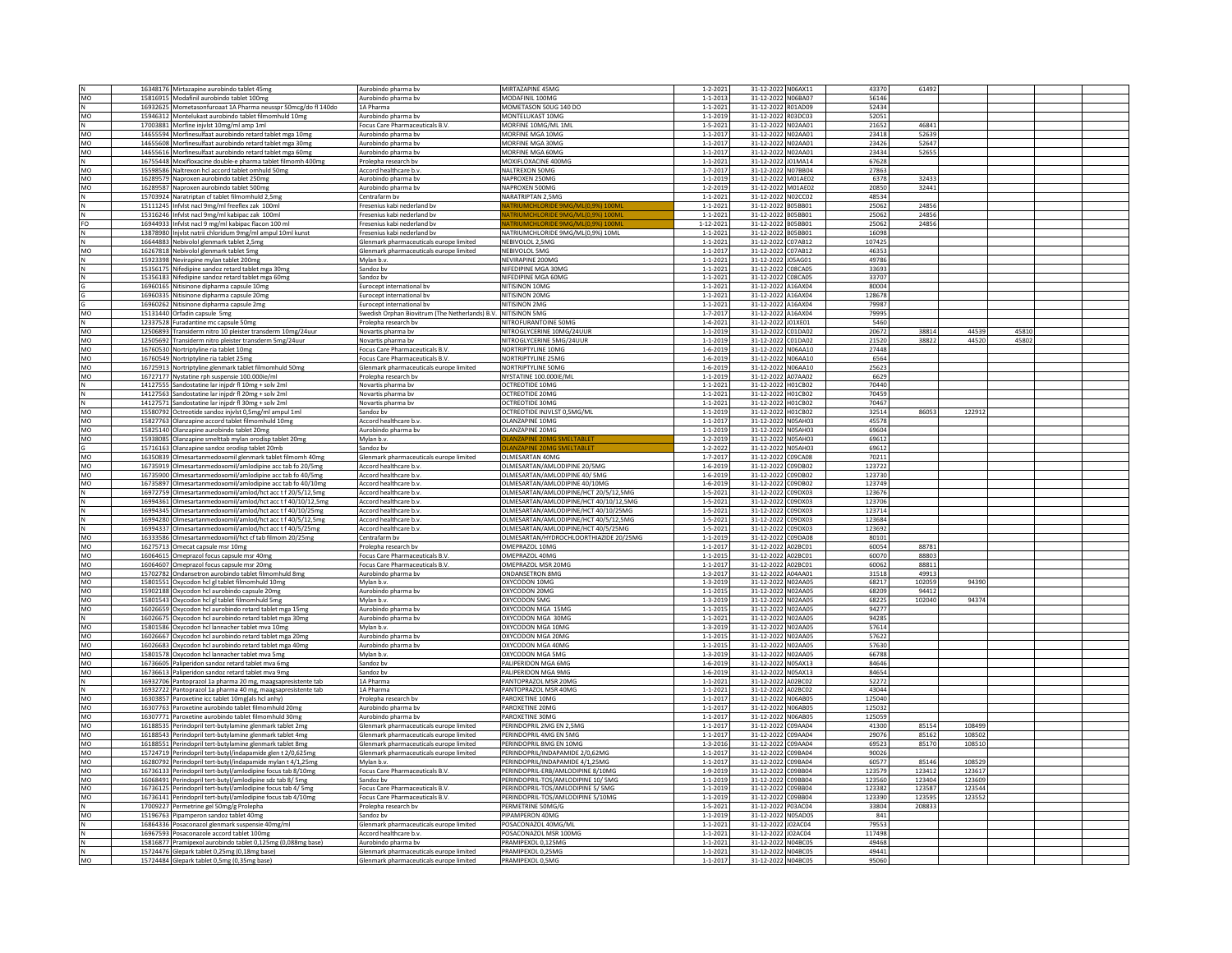|              | 16348176 Mirtazapine aurobindo tablet 45mg                                                  | Aurobindo pharma by                                                                | MIRTAZAPINE 45MG                       | $1 - 2 - 202$                   | 31-12-2022 N06AX11                       | 43370          | 61492  |                |  |
|--------------|---------------------------------------------------------------------------------------------|------------------------------------------------------------------------------------|----------------------------------------|---------------------------------|------------------------------------------|----------------|--------|----------------|--|
| MO           |                                                                                             |                                                                                    |                                        |                                 |                                          |                |        |                |  |
|              | 15816915 Modafinil aurobindo tablet 100mg                                                   | Aurobindo pharma bv                                                                | MODAFINIL 100MG                        | $1 - 1 - 201$                   | 31-12-2022 N06BA07                       | 56146          |        |                |  |
| N            | 16932625 Mometasonfuroaat 1A Pharma neusspr 50mcg/do fl 140do                               | 1A Pharma                                                                          | MOMETASON 50UG 140 DO                  | $1 - 1 - 202$                   | 31-12-2022 R01AD09                       | 52434          |        |                |  |
| MO           | 15946312 Montelukast aurobindo tablet filmomhuld 10mg                                       | Aurobindo pharma bv                                                                | MONTELUKAST 10MG                       | $1 - 1 - 2019$                  | 31-12-2022 R03DC03                       | 52051          |        |                |  |
|              | 17003881 Morfine injvlst 10mg/ml amp 1ml                                                    | Focus Care Pharmaceuticals B.V                                                     | MORFINE 10MG/ML 1ML                    | $1 - 5 - 202$                   | 31-12-2022 N02AA01                       | 21652          | 46841  |                |  |
| MO           | 14655594 Morfinesulfaat aurobindo retard tablet mga 10mg                                    | Aurobindo pharma by                                                                | MORFINE MGA 10MG                       | $1 - 1 - 201$                   | 31-12-2022 N02AA01                       | 23418          | 52639  |                |  |
| MO           | 14655608 Morfinesulfaat aurobindo retard tablet mga 30mg                                    | Aurobindo pharma by                                                                | MORFINE MGA 30MG                       | $1 - 1 - 201$                   | 31-12-2022 N02AA01                       | 23426          | 52647  |                |  |
|              |                                                                                             |                                                                                    |                                        |                                 |                                          |                |        |                |  |
| <b>MO</b>    | 14655616 Morfinesulfaat aurobindo retard tablet mga 60mg                                    | Aurobindo pharma bv                                                                | MORFINE MGA 60MG                       | $1 - 1 - 201$                   | 31-12-2022 N02AA01                       | 23434          | 52655  |                |  |
| N            | 16755448 Moxifloxacine double-e pharma tablet filmomh 400mg                                 | Prolepha research bv                                                               | MOXIFLOXACINE 400MG                    | $1 - 1 - 202$                   | 31-12-2022 J01MA14                       | 67628          |        |                |  |
| MO           | 15598586 Naltrexon hcl accord tablet omhuld 50mg                                            | Accord healthcare b.v.                                                             | NALTREXON 50MG                         | $1 - 7 - 201$                   | 31-12-2022 NO7BB04                       | 27863          |        |                |  |
| MO           | 16289579 Naproxen aurobindo tablet 250mg                                                    | Aurobindo pharma by                                                                | NAPROXEN 250MG                         | $1 - 1 - 201$                   | 31-12-2022 M01AF02                       | 6378           | 32433  |                |  |
|              |                                                                                             |                                                                                    |                                        |                                 |                                          |                |        |                |  |
| MO           | 16289587 Naproxen aurobindo tablet 500mg                                                    | Aurobindo pharma bv                                                                | NAPROXEN 500MG                         | $1 - 2 - 201$                   | 31-12-2022 M01AE02                       | 20850          | 32441  |                |  |
| Ν            | 15703924 Naratriotan cf tablet filmomhuld 2.5mg                                             | Centrafarm by                                                                      | NARATRIPTAN 2.5MG                      | $1 - 1 - 202$                   | 31-12-2022 N02CC02                       | 48534          |        |                |  |
| N            | 15111245 Infvlst nacl 9mg/ml freeflex zak 100ml                                             | Fresenius kabi nederland by                                                        |                                        | $1 - 1 - 202$                   | B05BB01<br>31-12-2022                    | 25062          | 24856  |                |  |
| N            | 15316246 Infvlst nacl 9mg/ml kabipac zak 100ml                                              | Fresenius kabi nederland bv                                                        | ATRIUMCHLORIDE 9MG/ML(0.9%) 100M       | $1 - 1 - 202$                   | 31-12-2022 B05BB01                       | 25062          | 24856  |                |  |
| FO           | 16944933 Infvlst nacl 9 mg/ml kabipac flacon 100 ml                                         | Fresenius kabi nederland bv                                                        | ATRIUMCHLORIDE 9MG/ML(0.9%) 100M       | $1 - 12 - 202$                  | 31-12-2022 B05BB01                       | 25062          | 24856  |                |  |
|              |                                                                                             |                                                                                    |                                        |                                 |                                          |                |        |                |  |
|              | 13878980 Injvlst natrii chloridum 9mg/ml ampul 10ml kunst                                   | Fresenius kabi nederland by                                                        | NATRIUMCHLORIDE 9MG/ML(0,9%) 10ML      | $1 - 1 - 202$                   | 31-12-2022 B05BB01                       | 16098          |        |                |  |
| N            | 16644883 Nebivolol glenmark tablet 2,5mg                                                    | Glenmark pharmaceuticals europe limited                                            | NEBIVOLOL 2,5MG                        | $1 - 1 - 2021$                  | 31-12-2022 C07AB12                       | 107425         |        |                |  |
| MO           | 16267818 Nebivolol glenmark tablet 5mg                                                      | Glenmark pharmaceuticals europe limited                                            | <b>NEBIVOLOL 5MG</b>                   | $1 - 1 - 201$                   | 31-12-2022 C07AB12                       | 46353          |        |                |  |
|              | 15923398 Nevirapine mylan tablet 200mg                                                      | Mylan b.v.                                                                         | NEVIRAPINE 200MG                       | $1 - 1 - 202$                   | 31-12-2022 J05AG01                       | 49786          |        |                |  |
|              |                                                                                             |                                                                                    |                                        |                                 |                                          |                |        |                |  |
|              | 15356175 Nifedipine sandoz retard tablet mga 30mg                                           | Sandoz by                                                                          | NIFEDIPINE MGA 30MG                    | $1 - 1 - 202$                   | 31-12-2022<br>C08CA05                    | 33693          |        |                |  |
|              | 15356183 Nifedipine sandoz retard tablet mga 60mg                                           | Sandoz by                                                                          | NIFEDIPINE MGA 60MG                    | $1 - 1 - 202$                   | 31-12-2022 C08CA05                       | 33707          |        |                |  |
|              | 16960165 Nitisinone dipharma capsule 10mg                                                   | Eurocept international bv                                                          | NITISINON 10MG                         | $1 - 1 - 202$                   | 31-12-2022 A16AX04                       | 80004          |        |                |  |
|              | 16960335 Nitisinone dipharma capsule 20mg                                                   | Eurocept international bv                                                          | NITISINON 20MG                         | $1 - 1 - 202$                   | 31-12-2022 A16AX04                       | 128678         |        |                |  |
|              | 16960262 Nitisinone dipharma capsule 2mg                                                    | Eurocept international by                                                          | NITISINON 2MG                          | $1 - 1 - 202$                   | 31-12-2022 A16AX04                       | 79987          |        |                |  |
|              |                                                                                             |                                                                                    |                                        |                                 |                                          |                |        |                |  |
| MO           | 15131440 Orfadin capsule 5mg                                                                | Swedish Orphan Biovitrum (The Netherlands) B.V. NITISINON 5MG                      |                                        | $1 - 7 - 201$                   | 31-12-2022 A16AX04                       | 79995          |        |                |  |
| N            | 12337528 Furadantine mc capsule 50mg                                                        | Prolepha research bv                                                               | NITROFURANTOINE 50MG                   | $1 - 4 - 202$                   | 31-12-2022 J01XE01                       | 5460           |        |                |  |
| MO           | 12506893 Transiderm nitro 10 pleister transderm 10mg/24uur                                  | Novartis pharma bv                                                                 | NITROGLYCERINE 10MG/24UUF              | $1 - 1 - 2019$                  | 31-12-2022 C01DA02                       | 20672          | 38814  | 44539<br>4581  |  |
| MO           | 12505692 Transiderm nitro pleister transderm 5mg/24uur                                      | Novartis pharma by                                                                 | NITROGLYCERINE 5MG/24UUR               | $1 - 1 - 201$                   | 31-12-2022 C01DA02                       | 21520          | 38822  | 44520<br>45802 |  |
|              |                                                                                             |                                                                                    |                                        |                                 |                                          |                |        |                |  |
| MO           | 16760530 Nortriptyline ria tablet 10mg                                                      | Focus Care Pharmaceuticals B.V.                                                    | NORTRIPTYLINE 10MG                     | $1 - 6 - 2019$                  | 31-12-2022 N06AA10                       | 27448          |        |                |  |
| MO           | 16760549 Nortriptyline ria tablet 25mg                                                      | Focus Care Pharmaceuticals B.V                                                     | NORTRIPTYLINE 25MG                     | $1 - 6 - 201$                   | 31-12-2022 N06AA10                       | 6564           |        |                |  |
| MO           | 16725913 Nortriptyline glenmark tablet filmomhuld 50mg                                      | Glenmark pharmaceuticals europe limited                                            | NORTRIPTYLINE 50MG                     | $1 - 6 - 201$                   | 31-12-2022 N06AA10                       | 25623          |        |                |  |
| MO           | 16727177 Nystatine rph suspensie 100.000ie/ml                                               | Prolepha research bv                                                               | NYSTATINE 100.000IE/ML                 | $1 - 1 - 201$                   | 31-12-2022 A07AA02                       | 6629           |        |                |  |
|              | 14127555 Sandostatine lar inipdr fl 10mg + solv 2ml                                         | Novartis pharma by                                                                 | <b>OCTREOTIDE 10MG</b>                 | $1 - 1 - 202$                   | 31-12-2022 H01CB02                       | 70440          |        |                |  |
|              |                                                                                             |                                                                                    |                                        |                                 |                                          |                |        |                |  |
| N            | 14127563 Sandostatine lar injpdr fl 20mg + solv 2m                                          | Novartis pharma by                                                                 | <b>OCTREOTIDE 20MG</b>                 | $1 - 1 - 202$                   | 31-12-2022 H01CB02                       | 70459          |        |                |  |
| N            | 14127571 Sandostatine lar injpdr fl 30mg + solv 2ml                                         | Novartis pharma bv                                                                 | OCTREOTIDE 30MG                        | $1 - 1 - 202$                   | 31-12-2022 H01CB02                       | 70467          |        |                |  |
| MO           | 15580792 Octreotide sandoz injvlst 0,5mg/ml ampul 1ml                                       | Sandoz bv                                                                          | OCTREOTIDE INJVLST 0,5MG/ML            | $1 - 1 - 201$                   | 31-12-2022 H01CB02                       | 32514          | 86053  | 122912         |  |
| MO           | 15827763 Olanzapine accord tablet filmomhuld 10mg                                           | Accord healthcare b.v.                                                             | OLANZAPINE 10MG                        | $1 - 1 - 201$                   | 31-12-2022 N05AH03                       | 45578          |        |                |  |
|              |                                                                                             |                                                                                    |                                        |                                 |                                          | 69604          |        |                |  |
| MO           | 15825140 Olanzapine aurobindo tablet 20mg                                                   | Aurobindo pharma bv                                                                | OLANZAPINE 20MG                        | $1 - 1 - 201$                   | 31-12-2022 N05AH03                       |                |        |                |  |
| MO           | 15938085 Olanzapine smelttab mylan orodisp tablet 20mg                                      | Mylan b.v.                                                                         | <b>LANZAPINE 20MG SMELTABLET</b>       | $1 - 2 - 201$                   | 31-12-2022 N05AH03                       | 69612          |        |                |  |
|              | 15716163 Olanzapine sandoz orodisp tablet 20mb                                              | Sandoz by                                                                          | LANZAPINE 20MG SMELTABLET              | $1 - 2 - 202$                   | 31-12-2022 N05AH03                       | 69612          |        |                |  |
| MO           | 16350839 Olmesartanmedoxomil glenmark tablet filmomh 40mg                                   | Glenmark pharmaceuticals europe limited                                            | OLMESARTAN 40MG                        | $1 - 7 - 201$                   | 31-12-2022 C09CA08                       | 70211          |        |                |  |
| MO           |                                                                                             | Accord healthcare b.v                                                              | OLMESARTAN/AMLODIPINE 20/5MG           | $1 - 6 - 2019$                  | 31-12-2022 C09DB02                       | 123722         |        |                |  |
|              | 16735919 Olmesartanmedoxomil/amlodipine acc tab fo 20/5mg                                   |                                                                                    |                                        |                                 |                                          |                |        |                |  |
| MO           | 16735900 Olmesartanmedoxomil/amlodipine acc tab fo 40/5mg                                   | Accord healthcare b.v.                                                             | OLMESARTAN/AMLODIPINE 40/ 5MG          | $1 - 6 - 2019$                  | 31-12-2022 C09DB02                       | 123730         |        |                |  |
| MO           | 16735897 Olmesartanmedoxomil/amlodipine acc tab fo 40/10mg                                  | Accord healthcare b.v.                                                             | OLMESARTAN/AMLODIPINE 40/10MG          | $1 - 6 - 201$                   | 31-12-2022<br>C09DB02                    | 123749         |        |                |  |
| N            | 16972759 Olmesartanmedoxomil/amlod/hct acc t f 20/5/12,5mg                                  | Accord healthcare b.v                                                              | OLMESARTAN/AMLODIPINE/HCT 20/5/12.5MG  | $1 - 5 - 202$                   | 31-12-2022 C09DX03                       | 123676         |        |                |  |
| N            | 16994361 Olmesartanmedoxomil/amlod/hct acc t f 40/10/12,5mg                                 | Accord healthcare b.v                                                              | OLMESARTAN/AMLODIPINE/HCT 40/10/12,5MG | $1 - 5 - 202$                   | 31-12-2022 C09DX03                       | 123706         |        |                |  |
|              |                                                                                             |                                                                                    |                                        |                                 |                                          |                |        |                |  |
|              | 16994345 Olmesartanmedoxomil/amlod/hct acc t f 40/10/25mg                                   | Accord healthcare b.v.                                                             | OI MESARTAN/AMI ODIPINE/HCT 40/10/25MG | $1 - 5 - 2021$                  | 31-12-2022 C09DX03                       | 123714         |        |                |  |
|              |                                                                                             |                                                                                    |                                        |                                 |                                          |                |        |                |  |
| N            | 16994280 Olmesartanmedoxomil/amlod/hct acc t f 40/5/12,5mg                                  | Accord healthcare b.v                                                              | OLMESARTAN/AMLODIPINE/HCT 40/5/12,5MG  | $1 - 5 - 202$                   | 31-12-2022 C09DX03                       | 123684         |        |                |  |
|              |                                                                                             | Accord healthcare b.v.                                                             |                                        |                                 |                                          |                |        |                |  |
| N            | 16994337 Olmesartanmedoxomil/amlod/hct acc t f 40/5/25mg                                    |                                                                                    | OLMESARTAN/AMLODIPINE/HCT 40/5/25MG    | $1 - 5 - 202$                   | 31-12-2022 C09DX03                       | 123692         |        |                |  |
| MO           | 16333586 Olmesartanmedoxomil/hct cf tab filmom 20/25mg                                      | Centrafarm bv                                                                      | OLMESARTAN/HYDROCHLOORTHIAZIDE 20/25MG | $1 - 1 - 201$                   | 31-12-2022 C09DA08                       | 80101          |        |                |  |
| MO           | 16275713 Omecat capsule msr 10mg                                                            | Prolepha research bv                                                               | OMEPRAZOL 10MG                         | $1 - 1 - 201$                   | 31-12-2022 A02BC01                       | 60054          | 88781  |                |  |
| MO           | 16064615 Omeprazol focus capsule msr 40mg                                                   | Focus Care Pharmaceuticals B.V                                                     | OMEPRAZOL 40MG                         | $1 - 1 - 201$                   | 31-12-2022 A02BC01                       | 60070          | 88803  |                |  |
|              |                                                                                             | Focus Care Pharmaceuticals B.V                                                     | OMEPRAZOL MSR 20MG                     | $1 - 1 - 201$                   | 31-12-2022 A02BC01                       | 60062          | 88811  |                |  |
| MO<br>MO     | 16064607 Omeprazol focus capsule msr 20mg                                                   | Aurobindo pharma bv                                                                | <b>ONDANSETRON 8MG</b>                 | $1 - 3 - 201$                   | 31-12-2022 A04AA01                       | 31518          | 49913  |                |  |
|              | 15702782 Ondansetron aurobindo tablet filmomhuld 8mg                                        |                                                                                    |                                        |                                 |                                          |                |        |                |  |
| MO           | 15801551 Oxycodon hcl gl tablet filmomhuld 10mg                                             | Mylan b.v.                                                                         | OXYCODON 10MG                          | $1 - 3 - 2019$                  | 31-12-2022 N02AA05                       | 68217          | 102059 | 94390          |  |
| MO           | 15902188 Oxycodon hcl aurobindo capsule 20mg                                                | Aurobindo pharma by                                                                | OXYCODON 20MG                          | $1 - 1 - 2015$                  | 31-12-2022 N02AA05                       | 68209          | 94412  |                |  |
| MO           | 15801543 Oxycodon hcl gl tablet filmomhuld 5mg                                              | Mylan b.v.                                                                         | OXYCODON 5MG                           | $1 - 3 - 2019$                  | 31-12-2022 N02AA05                       | 68225          | 102040 | 94374          |  |
| MO           | 16026659 Oxycodon hcl aurobindo retard tablet mga 15mg                                      | Aurobindo pharma bv                                                                | OXYCODON MGA 15MG                      | $1 - 1 - 201$                   | 31-12-2022 NO2AA05                       | 94277          |        |                |  |
|              |                                                                                             | Aurobindo pharma by                                                                | OXYCODON MGA 30MG                      | $1 - 1 - 202$                   | 31-12-2022 N02AA05                       | 94285          |        |                |  |
| $\mathsf{N}$ | 16026675 Oxycodon hcl aurobindo retard tablet mga 30mg                                      |                                                                                    |                                        |                                 |                                          |                |        |                |  |
| MO           | 15801586 Oxycodon hcl lannacher tablet mva 10mg                                             | Mylan b.v                                                                          | OXYCODON MGA 10MG                      | $1 - 3 - 201$                   | 31-12-2022 NO2AA05                       | 57614          |        |                |  |
| <b>MO</b>    | 16026667 Oxycodon hcl aurobindo retard tablet mga 20mg                                      | Aurobindo pharma bv                                                                | OXYCODON MGA 20MG                      | $1 - 1 - 201$                   | 31-12-2022 N02AA05                       | 57622          |        |                |  |
| MO           | 16026683 Oxycodon hcl aurobindo retard tablet mga 40mg                                      | Aurobindo pharma bv                                                                | OXYCODON MGA 40MG                      | $1 - 1 - 201$                   | 31-12-2022 NO2AA05                       | 57630          |        |                |  |
| MO           | 15801578 Oxycodon hcl lannacher tablet mva 5mg                                              | Mylan b.v.                                                                         | OXYCODON MGA 5MG                       | $1 - 3 - 2019$                  | 31-12-2022 NO2AA05                       | 66788          |        |                |  |
|              |                                                                                             | Sandoz by                                                                          | PALIPERIDON MGA 6MG                    |                                 | 31-12-2022 N05AX13                       | 84646          |        |                |  |
| MO           | 16736605 Paliperidon sandoz retard tablet mva 6mg                                           |                                                                                    |                                        | $1 - 6 - 2019$                  |                                          |                |        |                |  |
| MO           | 16736613 Paliperidon sandoz retard tablet mva 9mg                                           | Sandoz by                                                                          | PALIPERIDON MGA 9MG                    | $1 - 6 - 201$                   | 31-12-2022 N05AX13                       | 84654          |        |                |  |
| N            | 16932706 Pantoprazol 1a pharma 20 mg, maagsapresistente tab                                 | 1A Pharma                                                                          | PANTOPRAZOL MSR 20MG                   | $1 - 1 - 202$                   | 31-12-2022 A02BC02                       | 52272          |        |                |  |
| N            | 16932722 Pantoprazol 1a pharma 40 mg, maagsapresistente tab                                 | 1A Pharma                                                                          | PANTOPRAZOL MSR 40MG                   | $1 - 1 - 202$                   | 31-12-2022 A02BC02                       | 43044          |        |                |  |
| MO           | 16303857 Paroxetine icc tablet 10mg(als hcl anhy)                                           | Prolepha research by                                                               | PAROXETINE 10MG                        | $1 - 1 - 201$                   | 31-12-2022 N06AB05                       | 125040         |        |                |  |
|              |                                                                                             |                                                                                    |                                        |                                 |                                          |                |        |                |  |
| MO           | 16307763 Paroxetine aurobindo tablet filmomhuld 20mg                                        | Aurobindo pharma bv                                                                | PAROXETINE 20MG                        | $1 - 1 - 201$                   | 31-12-2022 N06AB05                       | 125032         |        |                |  |
| MO           | 16307771 Paroxetine aurobindo tablet filmomhuld 30mg                                        | Aurobindo pharma bv                                                                | PAROXETINE 30MG                        | $1 - 1 - 201$                   | 31-12-2022 N06AB05                       | 125059         |        |                |  |
| <b>MO</b>    | 16188535 Perindopril tert-butylamine glenmark tablet 2mg                                    | Glenmark pharmaceuticals europe limited                                            | PERINDOPRIL 2MG EN 2.5MG               | $1 - 1 - 201$                   | 31-12-2022 C09AA04                       | 41300          | 85154  | 108499         |  |
| MO           | 16188543 Perindopril tert-butylamine glenmark tablet 4mg                                    | Glenmark pharmaceuticals europe limited                                            | <b>PERINDOPRIL 4MG EN 5MG</b>          | $1 - 1 - 201$                   | C09AA04<br>31-12-2022                    | 29076          | 85162  | 108502         |  |
| MO           |                                                                                             | Glenmark pharmaceuticals europe limited                                            | PERINDOPRIL 8MG EN 10MG                | $1 - 3 - 201$                   | 31-12-2022 C09AA04                       | 69523          | 85170  | 108510         |  |
|              | 16188551 Perindopril tert-butylamine glenmark tablet 8mg                                    |                                                                                    |                                        |                                 |                                          |                |        |                |  |
| MO           | 15724719 Perindopril tert-butyl/indapamide glen t 2/0,625mg                                 | Glenmark pharmaceuticals europe limited                                            | PERINDOPRIL/INDAPAMIDE 2/0,62MG        | $1 - 1 - 201$                   | 31-12-2022 C09BA04                       | 90026          |        |                |  |
| MO           | 16280792 Perindopril tert-butyl/indapamide mylan t 4/1,25mg                                 | Mylan b.v.                                                                         | PERINDOPRIL/INDAPAMIDE 4/1.25MG        | $1 - 1 - 201$                   | C09BA04<br>31-12-2022                    | 60577          | 85146  | 108529         |  |
| MO           | 16736133 Perindopril tert-butyl/amlodipine focus tab 8/10mg                                 | Focus Care Pharmaceuticals B.V.                                                    | PERINDOPRIL-ERB/AMLODIPINE 8/10MG      | $1 - 9 - 201$                   | 31-12-2022<br>09BB04                     | 123579         | 123412 | 123617         |  |
| MO           | 16068491 Perindopril tert-butyl/amlodipine sdz tab 8/5mg                                    | Sandoz by                                                                          | PERINDOPRIL-TOS/AMLODIPINE 10/ 5MG     | $1 - 1 - 2019$                  | 31-12-2022 C09BB04                       | 123560         | 123404 | 123609         |  |
| <b>MO</b>    |                                                                                             | Focus Care Pharmaceuticals B.V.                                                    | PERINDOPRIL-TOS/AMLODIPINE 5/ 5MG      | $1 - 1 - 201$                   | 31-12-2022 C09BB04                       | 123382         | 123587 | 123544         |  |
|              | 16736125 Perindopril tert-butyl/amlodipine focus tab 4/ 5mg                                 |                                                                                    |                                        |                                 |                                          |                |        |                |  |
| MO           | 16736141 Perindopril tert-butyl/amlodipine focus tab 4/10mg                                 | Focus Care Pharmaceuticals B.V                                                     | PERINDOPRIL-TOS/AMLODIPINE 5/10MG      | $1 - 1 - 201$                   | 31-12-2022<br>C09BB04                    | 123390         | 123595 | 123552         |  |
| N            | 17009227 Permetrine gel 50mg/g Prolepha                                                     | Prolepha research by                                                               | PERMETRINE 50MG/G                      | $1 - 5 - 202$                   | 31-12-2022 P03AC04                       | 33804          | 208833 |                |  |
| MO           | 15196763 Pipamperon sandoz tablet 40mg                                                      | Sandoz bv                                                                          | PIPAMPERON 40MG                        | $1 - 1 - 201$                   | 31-12-2022 N05AD05                       | 841            |        |                |  |
|              | 16864336 Posaconazol glenmark suspensie 40mg/ml                                             | Glenmark pharmaceuticals europe limited                                            | OSACONAZOL 40MG/MI                     | $1 - 1 - 202$                   | 31-12-2022 J02AC04                       | 79553          |        |                |  |
|              | 16967593 Posaconazole accord tablet 100mg                                                   | Accord healthcare b.v                                                              | POSACONAZOL MSR 100MG                  | $1 - 1 - 202$                   |                                          | 117498         |        |                |  |
|              |                                                                                             |                                                                                    |                                        |                                 | 31-12-2022 J02AC04                       |                |        |                |  |
|              | 15816877 Pramipexol aurobindo tablet 0,125mg (0,088mg base)                                 | Aurobindo pharma bv                                                                | PRAMIPEXOL 0,125MG                     | $1 - 1 - 202$                   | 31-12-2022 N04BC05                       | 49468          |        |                |  |
| N<br>MO      | 15724476 Glepark tablet 0,25mg (0,18mg base)<br>15724484 Glepark tablet 0,5mg (0,35mg base) | Glenmark pharmaceuticals europe limited<br>Glenmark pharmaceuticals europe limited | PRAMIPEXOL 0.25MG<br>PRAMIPEXOL 0.5MG  | $1 - 1 - 202$<br>$1 - 1 - 2017$ | 31-12-2022 N04BC05<br>31-12-2022 N04BC05 | 49441<br>95060 |        |                |  |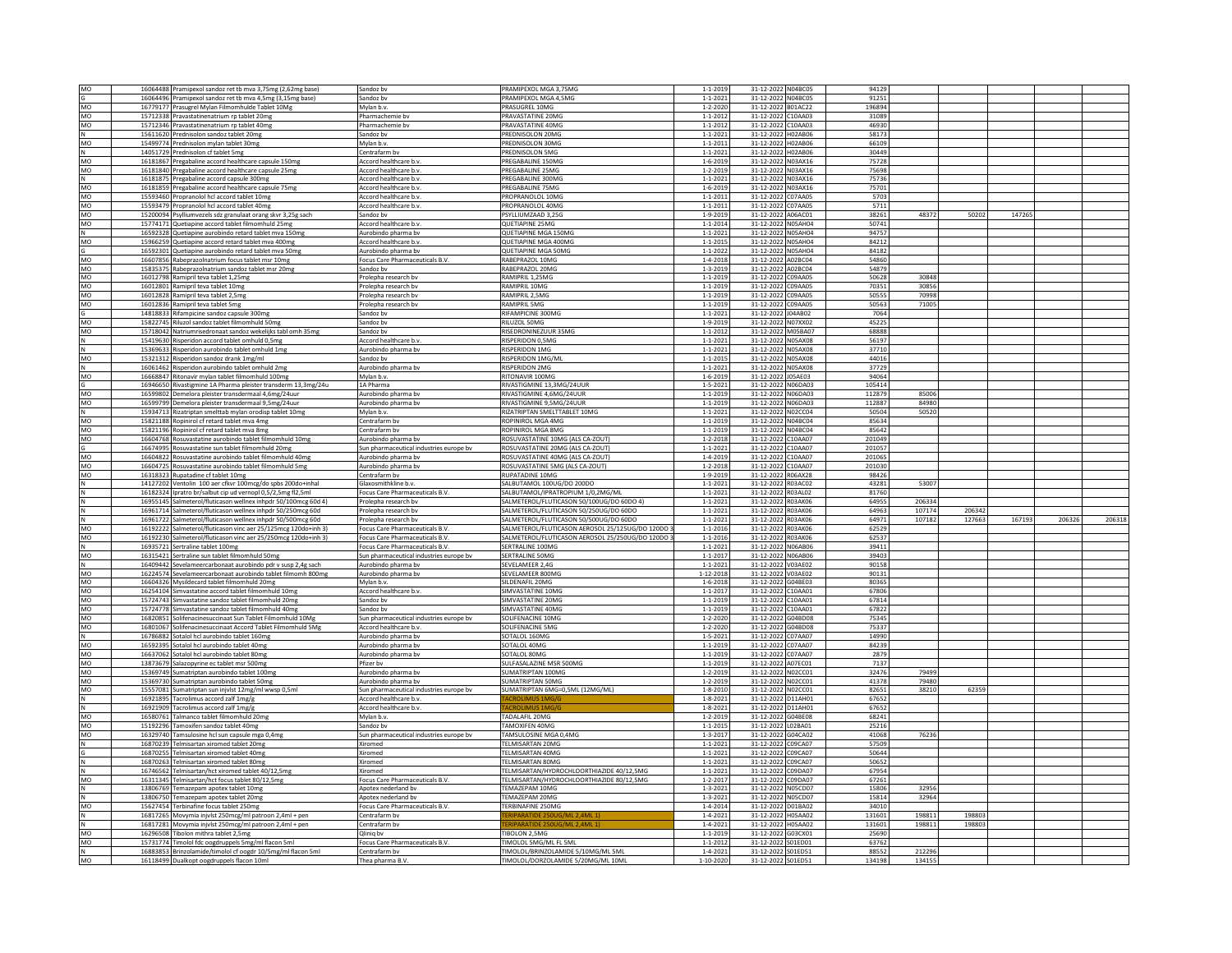| MO  | 16064488 Pramipexol sandoz ret tb mva 3,75mg (2,62mg base      | Sandoz by                               | PRAMIPEXOL MGA 3,75MG                             | $1 - 1 - 2019$ | 31-12-2022 N04BC05    | 94129  |        |        |        |        |        |
|-----|----------------------------------------------------------------|-----------------------------------------|---------------------------------------------------|----------------|-----------------------|--------|--------|--------|--------|--------|--------|
|     | 16064496 Pramipexol sandoz ret tb mva 4,5mg (3,15mg base)      | Sandoz bv                               | PRAMIPEXOL MGA 4,5MG                              | $1 - 1 - 202$  | 31-12-2022 N04BC05    | 91251  |        |        |        |        |        |
| MO  | 16779177 Prasugrel Mylan Filmomhulde Tablet 10Mg               | Mylan b.v.                              | <b>PRASUGREL 10MG</b>                             | $1 - 2 - 2020$ | 31-12-2022 B01AC22    | 196894 |        |        |        |        |        |
|     |                                                                |                                         |                                                   |                |                       |        |        |        |        |        |        |
| MO  | 15712338 Pravastatinenatrium rp tablet 20mg                    | Pharmachemie by                         | PRAVASTATINE 20MG                                 | $1 - 1 - 2012$ | 31-12-2022 C10AA03    | 31089  |        |        |        |        |        |
| MO  | 15712346 Pravastatinenatrium rp tablet 40mg                    | Pharmachemie by                         | PRAVASTATINE 40MG                                 | $1 - 1 - 2012$ | 31-12-2022 C10AA03    | 46930  |        |        |        |        |        |
| N   | 15611620 Prednisolon sandoz tablet 20mg                        | Sandoz by                               | PREDNISOLON 20MG                                  | $1 - 1 - 202$  | 31-12-2022 H02AB06    | 58173  |        |        |        |        |        |
| MO  | 15499774 Prednisolon mylan tablet 30mg                         | Mylan b.v                               | PREDNISOLON 30MG                                  | $1 - 1 - 201$  | 31-12-2022<br>H02AB06 | 66109  |        |        |        |        |        |
|     | 14051729 Prednisolon cf tablet 5mg                             | Centrafarm by                           | PREDNISOLON 5MG                                   | $1 - 1 - 202$  | 31-12-2022 H02AB06    | 30449  |        |        |        |        |        |
|     |                                                                |                                         |                                                   |                |                       |        |        |        |        |        |        |
| MO  | 16181867 Pregabaline accord healthcare capsule 150mg           | Accord healthcare b.v.                  | PREGABALINE 150MG                                 | $1 - 6 - 2019$ | 31-12-2022 N03AX16    | 75728  |        |        |        |        |        |
| MO  | 16181840 Pregabaline accord healthcare capsule 25mg            | Accord healthcare b.v.                  | PREGABALINE 25MG                                  | $1 - 2 - 2019$ | 31-12-2022 N03AX16    | 75698  |        |        |        |        |        |
| IN. | 16181875 Pregabaline accord capsule 300mg                      | Accord healthcare b.v                   | PREGABALINE 300MG                                 | $1 - 1 - 2021$ | 31-12-2022 N03AX16    | 75736  |        |        |        |        |        |
|     |                                                                |                                         |                                                   |                |                       |        |        |        |        |        |        |
| MO  | 16181859 Pregabaline accord healthcare capsule 75mg            | Accord healthcare b.v.                  | PREGABALINE 75MG                                  | $1 - 6 - 201$  | 31-12-2022 N03AX16    | 75701  |        |        |        |        |        |
| MO  | 15593460 Propranolol hcl accord tablet 10mg                    | Accord healthcare b.v                   | PROPRANOLOL 10MG                                  | $1 - 1 - 201$  | 31-12-2022 C07AA05    | 5703   |        |        |        |        |        |
| MO  | 15593479 Propranolol hcl accord tablet 40mg                    | Accord healthcare b.v                   | PROPRANOLOL 40MG                                  | $1 - 1 - 201$  | C07AA05<br>31-12-2022 | 5711   |        |        |        |        |        |
| MO  |                                                                | Sandoz by                               | PSYLLIUMZAAD 3.25G                                | 1-9-2019       | 31-12-2022 A06AC01    | 38261  | 48372  | 50202  | 14726  |        |        |
|     | 15200094 Psylliumvezels sdz granulaat orang skvr 3,25g sach    |                                         |                                                   |                |                       |        |        |        |        |        |        |
| MO  | 15774171 Quetiapine accord tablet filmomhuld 25mg              | Accord healthcare b.v.                  | <b>QUETIAPINE 25MG</b>                            | $1 - 1 - 2014$ | 31-12-2022 N05AH04    | 50741  |        |        |        |        |        |
| N   | 16592328 Quetiapine aurobindo retard tablet mva 150mg          | Aurobindo pharma bv                     | QUETIAPINE MGA 150MG                              | $1 - 1 - 2021$ | 31-12-2022 N05AH04    | 94757  |        |        |        |        |        |
| MO  | 15966259 Quetiapine accord retard tablet mva 400mg             | Accord healthcare b.v                   | QUETIAPINE MGA 400MG                              | $1 - 1 - 2015$ | 31-12-2022 N05AH04    | 84212  |        |        |        |        |        |
|     |                                                                |                                         | QUETIAPINE MGA 50MG                               | $1 - 1 - 2022$ | 31-12-2022 N05AH04    | 84182  |        |        |        |        |        |
|     | 16592301 Quetiapine aurobindo retard tablet mva 50mg           | Aurobindo pharma bv                     |                                                   |                |                       |        |        |        |        |        |        |
| MO  | 16607856 Rabeprazolnatrium focus tablet msr 10mg               | Focus Care Pharmaceuticals B.V.         | RABEPRAZOL 10MG                                   | $1 - 4 - 2018$ | 31-12-2022 A02BC04    | 54860  |        |        |        |        |        |
| MO  | 15835375 Rabeprazolnatrium sandoz tablet msr 20mg              | Sandoz by                               | RABEPRAZOL 20MG                                   | $1 - 3 - 201$  | 31-12-2022 A02BC04    | 54879  |        |        |        |        |        |
| MO  | 16012798 Ramipril teva tablet 1,25mg                           | Prolepha research bv                    | RAMIPRIL 1,25MG                                   | $1 - 1 - 2019$ | 31-12-2022 C09AA05    | 50628  | 30848  |        |        |        |        |
| MO  |                                                                |                                         | RAMIPRII 10MG                                     |                | 31-12-2022 C09AA05    | 70351  | 30856  |        |        |        |        |
|     | 16012801 Ramipril teva tablet 10mg                             | Prolepha research bv                    |                                                   | $1 - 1 - 2019$ |                       |        |        |        |        |        |        |
| MO  | 16012828 Ramipril teva tablet 2,5mg                            | Prolepha research by                    | RAMIPRIL 2.5MG                                    | $1 - 1 - 2019$ | 31-12-2022 C09AA05    | 50555  | 70998  |        |        |        |        |
| MO  | 16012836 Ramipril teva tablet 5mg                              | Prolepha research by                    | <b>RAMIPRIL 5MG</b>                               | $1 - 1 - 2019$ | 31-12-2022 C09AA05    | 50563  | 71005  |        |        |        |        |
|     | 14818833 Rifampicine sandoz capsule 300mg                      | Sandoz bv                               | RIFAMPICINE 300MG                                 | $1 - 1 - 202$  | 31-12-2022 J04AB02    | 7064   |        |        |        |        |        |
|     |                                                                |                                         |                                                   |                |                       |        |        |        |        |        |        |
| MO  | 15822745 Riluzol sandoz tablet filmomhuld 50mg                 | Sandoz by                               | RILUZOL 50MG                                      | $1 - 9 - 201$  | 31-12-2022 N07XX02    | 45225  |        |        |        |        |        |
| MO  | 15718042 Natriumrisedronaat sandoz wekelijks tabl omh 35mg     | andoz bv                                | RISEDRONINEZUUR 35MG                              | $1 - 1 - 201$  | 31-12-2022 M05BA07    | 68888  |        |        |        |        |        |
| lΝ  | 15419630 Risperidon accord tablet omhuld 0,5mg                 | Accord healthcare b.v                   | RISPERIDON 0,5MG                                  | $1 - 1 - 202$  | 31-12-2022 N05AX08    | 56197  |        |        |        |        |        |
|     |                                                                |                                         | <b>RISPERIDON 1MG</b>                             |                | 31-12-2022 N05AX08    | 37710  |        |        |        |        |        |
| N   | 15369633 Risperidon aurobindo tablet omhuld 1mg                | Aurobindo pharma bv                     |                                                   | $1 - 1 - 2021$ |                       |        |        |        |        |        |        |
| MO  | 15321312 Risperidon sandoz drank 1mg/ml                        | Sandoz by                               | RISPERIDON 1MG/ML                                 | $1 - 1 - 201$  | 31-12-2022 N05AX08    | 44016  |        |        |        |        |        |
| N   | 16061462 Risperidon aurobindo tablet omhuld 2mg                | Aurobindo pharma by                     | <b>RISPERIDON 2MG</b>                             | $1 - 1 - 202$  | 31-12-2022 N05AX08    | 37729  |        |        |        |        |        |
| MO  | 16668847 Ritonavir mylan tablet filmomhuld 100mg               | Mylan b.v                               | RITONAVIR 100MG                                   | $1 - 6 - 201$  | 31-12-2022 J05AE03    | 94064  |        |        |        |        |        |
|     |                                                                |                                         |                                                   |                |                       |        |        |        |        |        |        |
|     | 16946650 Rivastigmine 1A Pharma pleister transderm 13,3mg/24u  | 1A Pharma                               | RIVASTIGMINE 13,3MG/24UUR                         | $1 - 5 - 202$  | 31-12-2022 N06DA03    | 105414 |        |        |        |        |        |
| MO  | 16599802 Demelora pleister transdermaal 4,6mg/24uur            | Aurobindo pharma by                     | RIVASTIGMINE 4,6MG/24UUR                          | $1 - 1 - 2019$ | 31-12-2022 N06DA03    | 112879 | 85006  |        |        |        |        |
| MO  | 16599799 Demelora pleister transdermaal 9,5mg/24uur            | Aurobindo pharma bv                     | RIVASTIGMINE 9,5MG/24UUR                          | 1-1-2019       | 31-12-2022 N06DA03    | 112887 | 84980  |        |        |        |        |
|     |                                                                |                                         |                                                   |                |                       |        |        |        |        |        |        |
| N   | 15934713 Rizatriptan smelttab mylan orodisp tablet 10mg        | Mylan b.v                               | RIZATRIPTAN SMELTTABLET 10MG                      | $1 - 1 - 2021$ | 31-12-2022 N02CC04    | 50504  | 50520  |        |        |        |        |
| MO  | 15821188 Ropinirol cf retard tablet mva 4mg                    | Centrafarm bv                           | ROPINIROL MGA 4MG                                 | $1 - 1 - 2019$ | 31-12-2022 N04BC04    | 85634  |        |        |        |        |        |
| MO  | 15821196 Ropinirol cf retard tablet mva 8mg                    | Centrafarm by                           | ROPINIROL MGA 8MG                                 | $1 - 1 - 2019$ | 31-12-2022 N04BC04    | 85642  |        |        |        |        |        |
| MO  |                                                                |                                         |                                                   |                |                       |        |        |        |        |        |        |
|     | 16604768 Rosuvastatine aurobindo tablet filmomhuld 10mg        | Aurobindo pharma bv                     | ROSUVASTATINE 10MG (ALS CA-ZOUT)                  | $1 - 2 - 2018$ | 31-12-2022 C10AA07    | 201049 |        |        |        |        |        |
|     | 16674995 Rosuvastatine sun tablet filmomhuld 20mg              | Sun pharmaceutical industries europe bv | ROSUVASTATINE 20MG (ALS CA-ZOUT)                  | $1 - 1 - 202$  | 31-12-2022 C10AA07    | 201057 |        |        |        |        |        |
| MO  | 16604822 Rosuvastatine aurobindo tablet filmomhuld 40m;        | Aurobindo pharma by                     | ROSUVASTATINE 40MG (ALS CA-ZOUT)                  | $1 - 4 - 201$  | 31-12-2022 C10AA07    | 201065 |        |        |        |        |        |
| MO  | 16604725 Rosuvastatine aurobindo tablet filmomhuld 5mg         | Aurobindo pharma bv                     | ROSUVASTATINE 5MG (ALS CA-ZOUT)                   | $1 - 2 - 2018$ | 31-12-2022 C10AA07    | 201030 |        |        |        |        |        |
| MO  |                                                                | Centrafarm by                           | RUPATADINE 10MG                                   | 1-9-2019       | 31-12-2022 R06AX28    | 98426  |        |        |        |        |        |
|     | 16318323 Rupatadine cf tablet 10mg                             |                                         |                                                   |                |                       |        |        |        |        |        |        |
|     | 14127202 Ventolin 100 aer cfkvr 100mcg/do spbs 200do+inhal     | Glaxosmithkline b.v.                    | SALBUTAMOL 100UG/DO 200DO                         | $1 - 1 - 202$  | 31-12-2022 R03AC02    | 43281  | 53007  |        |        |        |        |
|     |                                                                |                                         |                                                   |                |                       |        |        |        |        |        |        |
|     |                                                                |                                         |                                                   |                |                       |        |        |        |        |        |        |
|     | 16182324 Ipratro br/salbut cip ud vernopl 0,5/2,5mg fl2,5ml    | Focus Care Pharmaceuticals B.V.         | SALBUTAMOL/IPRATROPIUM 1/0,2MG/ML                 | $1 - 1 - 202$  | 31-12-2022 R03AL02    | 81760  |        |        |        |        |        |
|     | 16955145 Salmeterol/fluticason wellnex inhpdr 50/100mcg 60d 4) | Prolepha research by                    | SALMETEROL/FLUTICASON 50/100UG/DO 60DO 4)         | $1 - 1 - 202$  | 31-12-2022 R03AK06    | 64955  | 206334 |        |        |        |        |
|     | 16961714 Salmeterol/fluticason wellnex inhpdr 50/250mcg 60d    | Prolepha research by                    | SALMETEROL/FLUTICASON 50/250UG/DO 60DO            | $1 - 1 - 202$  | 31-12-2022 R03AK06    | 64963  | 107174 | 206342 |        |        |        |
|     |                                                                |                                         |                                                   |                |                       | 64971  |        |        |        | 206326 |        |
| N   | 16961722 Salmeterol/fluticason wellnex inhpdr 50/500mcg 60d    | Prolepha research bv                    | SALMETEROL/FLUTICASON 50/500UG/DO 60DO            | $1 - 1 - 202$  | 31-12-2022 R03AK06    |        | 107182 | 127663 | 167193 |        | 206318 |
| MO  | 16192222 Salmeterol/fluticason vinc aer 25/125mcg 120do+inh 3) | Focus Care Pharmaceuticals B.V.         | SALMETEROL/FLUTICASON AEROSOL 25/125UG/DO 120DO 3 | $1 - 1 - 2010$ | 31-12-2022 R03AK06    | 62529  |        |        |        |        |        |
| MO  | 16192230 Salmeterol/fluticason vinc aer 25/250mcg 120do+inh 3) | Focus Care Pharmaceuticals B.V.         | SALMETEROL/FLUTICASON AEROSOL 25/250UG/DO 120DO   | $1 - 1 - 2016$ | 31-12-2022 R03AK06    | 62537  |        |        |        |        |        |
|     | 16935721 Sertraline tablet 100mg                               | Focus Care Pharmaceuticals B.V.         | SERTRALINE 100MG                                  | $1 - 1 - 202$  | 31-12-2022 N06AB06    | 39411  |        |        |        |        |        |
|     |                                                                |                                         | SERTRALINE 50MG                                   |                |                       | 39403  |        |        |        |        |        |
| MO  | 16315421 Sertraline sun tablet filmomhuld 50mg                 | Sun pharmaceutical industries europe bv |                                                   | $1 - 1 - 201$  | 31-12-2022 N06AB06    |        |        |        |        |        |        |
|     | 16409442 Sevelameercarbonaat aurobindo pdr v susp 2,4g sach    | Aurobindo pharma bv                     | SEVELAMEER 2,4G                                   | $1 - 1 - 202$  | 31-12-2022 V03AE02    | 90158  |        |        |        |        |        |
| MO  | 16224574 Sevelameercarbonaat aurobindo tablet filmomh 800mg    | Aurobindo pharma bv                     | SEVELAMEER 800MG                                  | 1-12-2018      | V03AE02<br>31-12-2022 | 90131  |        |        |        |        |        |
| MO  | 16604326 Mysildecard tablet filmomhuld 20mg                    | Mylan b.y                               | SILDENAEIL 20MG                                   | $1 - 6 - 2018$ | 31-12-2022 G04BE03    | 80365  |        |        |        |        |        |
|     |                                                                |                                         | SIMVASTATINE 10MG                                 |                |                       | 67806  |        |        |        |        |        |
| MO  | 16254104 Simvastatine accord tablet filmomhuld 10mg            | Accord healthcare b.v.                  |                                                   | $1 - 1 - 201$  | 31-12-2022 C10AA01    |        |        |        |        |        |        |
| MO  | 15724743 Simvastatine sandoz tablet filmomhuld 20mg            | Sandoz by                               | SIMVASTATINE 20MG                                 | $1 - 1 - 2019$ | 31-12-2022 C10AA01    | 67814  |        |        |        |        |        |
| MO  | 15724778 Simvastatine sandoz tablet filmomhuld 40mg            | Sandoz by                               | SIMVASTATINE 40MG                                 | $1 - 1 - 2019$ | 31-12-2022<br>C10AA01 | 67822  |        |        |        |        |        |
| MO  |                                                                | Sun pharmaceutical industries europe bv | SOLIFENACINE 10MG                                 | $1 - 2 - 2020$ | 31-12-2022 G04BD08    | 75345  |        |        |        |        |        |
|     | 16820851 Solifenacinesuccinaat Sun Tablet Filmomhuld 10Mg      |                                         |                                                   |                |                       |        |        |        |        |        |        |
| MO  | 16801067 Solifenacinesuccinaat Accord Tablet Filmomhuld 5Mg    | Accord healthcare b.v.                  | SOLIFENACINE 5MG                                  | $1 - 2 - 2020$ | 31-12-2022 G04BD08    | 75337  |        |        |        |        |        |
| N   | 16786882 Sotalol hcl aurobindo tablet 160mg                    | Aurobindo pharma by                     | SOTALOL 160MG                                     | $1 - 5 - 202$  | 31-12-2022<br>C07AA07 | 14990  |        |        |        |        |        |
| MO  | 16592395 Sotalol hcl aurobindo tablet 40mg                     | Aurobindo pharma bv                     | SOTALOL 40MG                                      | $1 - 1 - 2019$ | 31-12-2022 C07AA07    | 84239  |        |        |        |        |        |
| MO  | 16637062 Sotalol hcl aurobindo tablet 80mg                     | Aurobindo pharma bv                     | SOTALOL 80MG                                      | $1 - 1 - 201$  | 31-12-2022 C07AA07    | 2879   |        |        |        |        |        |
|     |                                                                | Pfizer hv                               | SULFASALAZINE MSR 500MG                           | $1 - 1 - 2019$ | 31-12-2022 A07EC01    | 7137   |        |        |        |        |        |
| MO  | 13873679 Salazopyrine ec tablet msr 500mg                      |                                         |                                                   |                |                       |        |        |        |        |        |        |
| MO  | 15369749 Sumatriptan aurobindo tablet 100mg                    | Aurobindo pharma by                     | SUMATRIPTAN 100MG                                 | $1 - 2 - 201$  | 31-12-2022 N02CC01    | 32476  | 7949   |        |        |        |        |
| MO  | 15369730 Sumatriptan aurobindo tablet 50mg                     | Aurobindo pharma bv                     | SUMATRIPTAN 50MG                                  | $1 - 2 - 201$  | 31-12-2022 N02CC01    | 41378  | 79480  |        |        |        |        |
| MO  |                                                                |                                         | SUMATRIPTAN 6MG=0.5ML (12MG/ML)                   | $1 - 8 - 2010$ | 31-12-2022 N02CC01    | 82651  | 38210  | 62359  |        |        |        |
| lΝ  | 15557081 Sumatriptan sun injvlst 12mg/ml wwsp 0,5ml            | Sun pharmaceutical industries europe bv |                                                   |                |                       |        |        |        |        |        |        |
|     | 16921895 Tacrolimus accord zalf 1mg/g                          | Accord healthcare b.v.                  |                                                   | $1 - 8 - 2021$ | 31-12-2022 D11AH01    | 67652  |        |        |        |        |        |
| N   | 16921909 Tacrolimus accord zalf 1mg/g                          | Accord healthcare b.v                   | <b>ACROLIMLIS 1M</b>                              | $1 - 8 - 202$  | 31-12-2022 D11AH01    | 67652  |        |        |        |        |        |
| MO  | 16580761 Talmanco tablet filmomhuld 20mg                       | Mylan b.y                               | TADALAFIL 20MG                                    | $1 - 2 - 201$  | 31-12-2022 G04BE08    | 68241  |        |        |        |        |        |
| MO  | 15192296 Tamoxifen sandoz tablet 40mg                          | Sandoz by                               | TAMOXIFEN 40MG                                    | $1 - 1 - 201$  | 31-12-2022<br>L02BA01 | 25216  |        |        |        |        |        |
|     |                                                                |                                         |                                                   |                |                       |        |        |        |        |        |        |
| MO  | 16329740 Tamsulosine hcl sun capsule mga 0,4mg                 | Sun pharmaceutical industries europe bv | TAMSULOSINE MGA 0,4MG                             | $1 - 3 - 201$  | 31-12-2022<br>G04CA02 | 41068  | 7623   |        |        |        |        |
|     | 16870239 Telmisartan xiromed tablet 20mg                       | Xiromed                                 | TELMISARTAN 20MG                                  | $1 - 1 - 202$  | 31-12-2022 C09CA07    | 57509  |        |        |        |        |        |
|     | 16870255 Telmisartan xiromed tablet 40mg                       | Xiromed                                 | <b>FELMISARTAN 40MG</b>                           | $1 - 1 - 202$  | 31-12-2022 C09CA07    | 50644  |        |        |        |        |        |
|     | 16870263 Telmisartan xiromed tablet 80mg                       | Kiromed                                 | <b>ELMISARTAN 80MG</b>                            |                | 31-12-2022            |        |        |        |        |        |        |
|     |                                                                |                                         |                                                   | $1 - 1 - 202$  | C09CA07               | 50652  |        |        |        |        |        |
| N   | 16746562 Telmisartan/hct xiromed tablet 40/12,5mg              | Xiromed                                 | TELMISARTAN/HYDROCHLOORTHIAZIDE 40/12.5MG         | $1 - 1 - 202$  | 31-12-2022 C09DA07    | 67954  |        |        |        |        |        |
| MO  | 16311345 Telmisartan/hct focus tablet 80/12,5mg                | Focus Care Pharmaceuticals B.V.         | TELMISARTAN/HYDROCHLOORTHIAZIDE 80/12,5MG         | $1 - 2 - 201$  | 31-12-2022 C09DA07    | 67261  |        |        |        |        |        |
|     |                                                                | Apotex nederland bv                     | TEMAZEPAM 10MG                                    | $1 - 3 - 202$  | 31-12-2022 N05CD07    | 15806  | 32956  |        |        |        |        |
|     | 13806769 Temazepam apotex tablet 10mg                          |                                         |                                                   |                |                       |        |        |        |        |        |        |
|     | 13806750 Temazepam apotex tablet 20mg                          | Apotex nederland by                     | TEMAZEPAM 20MG                                    | $1 - 3 - 202$  | 31-12-2022 N05CD07    | 15814  | 32964  |        |        |        |        |
| MO  | 15627454 Terbinafine focus tablet 250mg                        | Focus Care Pharmaceuticals B.V.         | TERBINAFINE 250MG                                 | $1 - 4 - 2014$ | 31-12-2022 D01BA02    | 34010  |        |        |        |        |        |
| N   | 16817265 Movymia injvlst 250mcg/ml patroon 2,4ml + pen         | Centrafarm bv                           | ERIPARATIDE 250UG/ML 2,4ML                        | $1 - 4 - 202$  | 31-12-2022 H05AA02    | 131601 | 198811 | 19880  |        |        |        |
|     | 16817281 Movymia injvlst 250mcg/ml patroon 2,4ml + pen         |                                         |                                                   | $1 - 4 - 202$  | 31-12-2022 H05AA02    | 131601 | 198813 | 19880  |        |        |        |
|     |                                                                | Centrafarm bv                           |                                                   |                |                       |        |        |        |        |        |        |
| MO  | 16296508 Tibolon mithra tablet 2,5mg                           | Qliniq by                               | TIBOLON 2.5MG                                     | $1 - 1 - 201$  | 31-12-2022 G03CX01    | 25690  |        |        |        |        |        |
| MO  | 15731774 Timolol fdc oogdruppels 5mg/ml flacon 5ml             | Focus Care Pharmaceuticals B.V.         | TIMOLOL 5MG/ML FL 5ML                             | $1 - 1 - 201$  | 31-12-2022 S01ED01    | 63762  |        |        |        |        |        |
|     | 16883853 Brinzolamide/timolol cf oogdr 10/5mg/ml flacon 5ml    | Centrafarm by                           | TIMOLOL/BRINZOLAMIDE 5/10MG/ML 5ML                | $1 - 4 - 202$  | 31-12-2022 S01ED51    | 88552  | 212296 |        |        |        |        |
| MO  | 16118499 Dualkopt oogdruppels flacon 10ml                      | Thea pharma B.V                         | TIMOLOL/DORZOLAMIDE 5/20MG/ML 10ML                | 1-10-2020      | 31-12-2022 S01ED51    | 134198 | 134155 |        |        |        |        |